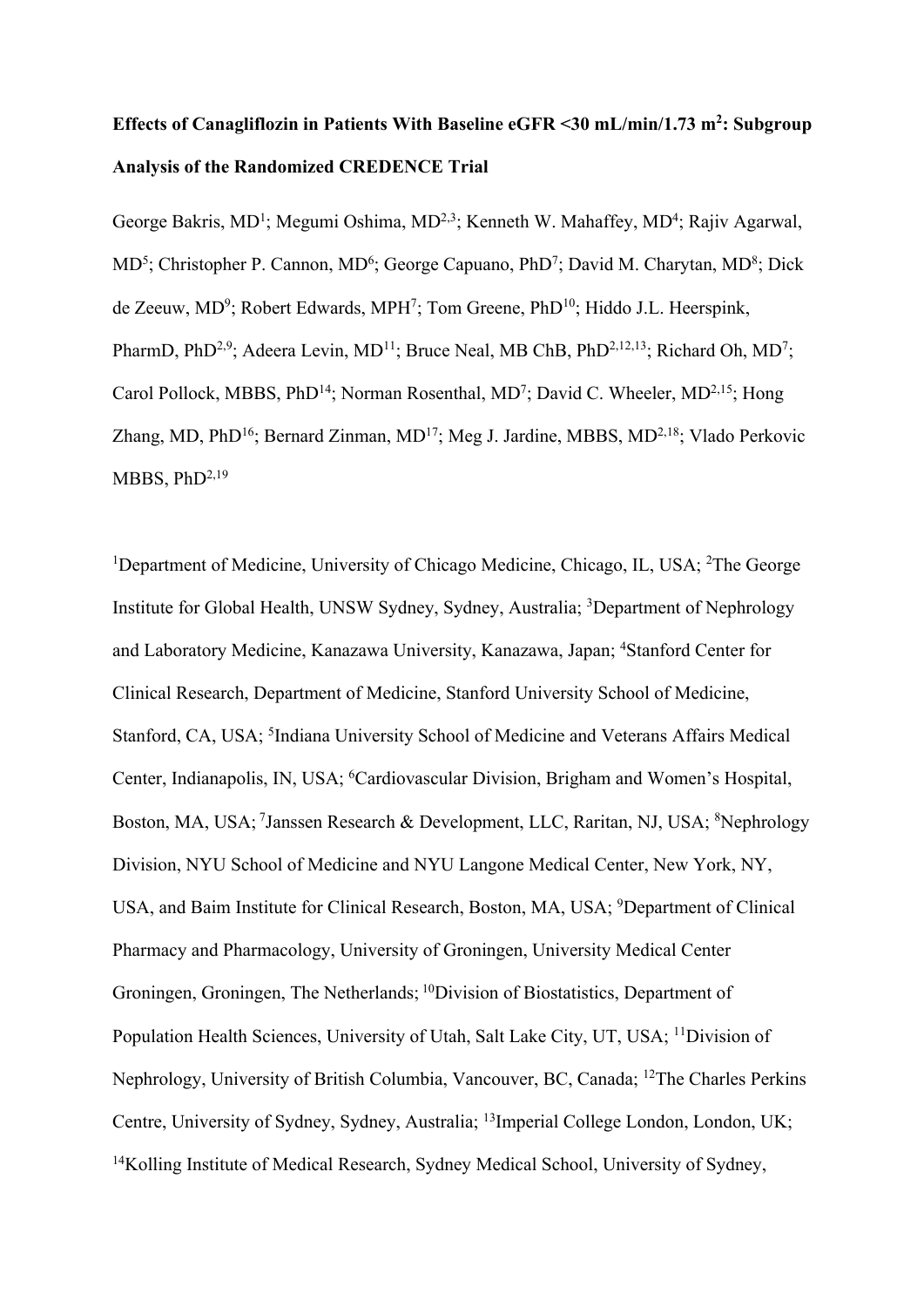# **Effects of Canagliflozin in Patients With Baseline eGFR <30 mL/min/1.73 m2 : Subgroup Analysis of the Randomized CREDENCE Trial**

George Bakris, MD<sup>1</sup>; Megumi Oshima, MD<sup>2,3</sup>; Kenneth W. Mahaffey, MD<sup>4</sup>; Rajiv Agarwal, MD<sup>5</sup>; Christopher P. Cannon, MD<sup>6</sup>; George Capuano, PhD<sup>7</sup>; David M. Charytan, MD<sup>8</sup>; Dick de Zeeuw, MD<sup>9</sup>; Robert Edwards, MPH<sup>7</sup>; Tom Greene, PhD<sup>10</sup>; Hiddo J.L. Heerspink, PharmD, PhD<sup>2,9</sup>; Adeera Levin, MD<sup>11</sup>; Bruce Neal, MB ChB, PhD<sup>2,12,13</sup>; Richard Oh, MD<sup>7</sup>; Carol Pollock, MBBS, PhD<sup>14</sup>; Norman Rosenthal, MD<sup>7</sup>; David C. Wheeler, MD<sup>2,15</sup>; Hong Zhang, MD, PhD<sup>16</sup>; Bernard Zinman, MD<sup>17</sup>; Meg J. Jardine, MBBS, MD<sup>2,18</sup>; Vlado Perkovic MBBS,  $PhD<sup>2,19</sup>$ 

<sup>1</sup>Department of Medicine, University of Chicago Medicine, Chicago, IL, USA; <sup>2</sup>The George Institute for Global Health, UNSW Sydney, Sydney, Australia; <sup>3</sup>Department of Nephrology and Laboratory Medicine, Kanazawa University, Kanazawa, Japan; 4 Stanford Center for Clinical Research, Department of Medicine, Stanford University School of Medicine, Stanford, CA, USA; <sup>5</sup>Indiana University School of Medicine and Veterans Affairs Medical Center, Indianapolis, IN, USA; <sup>6</sup>Cardiovascular Division, Brigham and Women's Hospital, Boston, MA, USA; <sup>7</sup>Janssen Research & Development, LLC, Raritan, NJ, USA; <sup>8</sup>Nephrology Division, NYU School of Medicine and NYU Langone Medical Center, New York, NY, USA, and Baim Institute for Clinical Research, Boston, MA, USA; <sup>9</sup>Department of Clinical Pharmacy and Pharmacology, University of Groningen, University Medical Center Groningen, Groningen, The Netherlands; 10Division of Biostatistics, Department of Population Health Sciences, University of Utah, Salt Lake City, UT, USA; 11Division of Nephrology, University of British Columbia, Vancouver, BC, Canada; 12The Charles Perkins Centre, University of Sydney, Sydney, Australia; 13Imperial College London, London, UK; <sup>14</sup>Kolling Institute of Medical Research, Sydney Medical School, University of Sydney,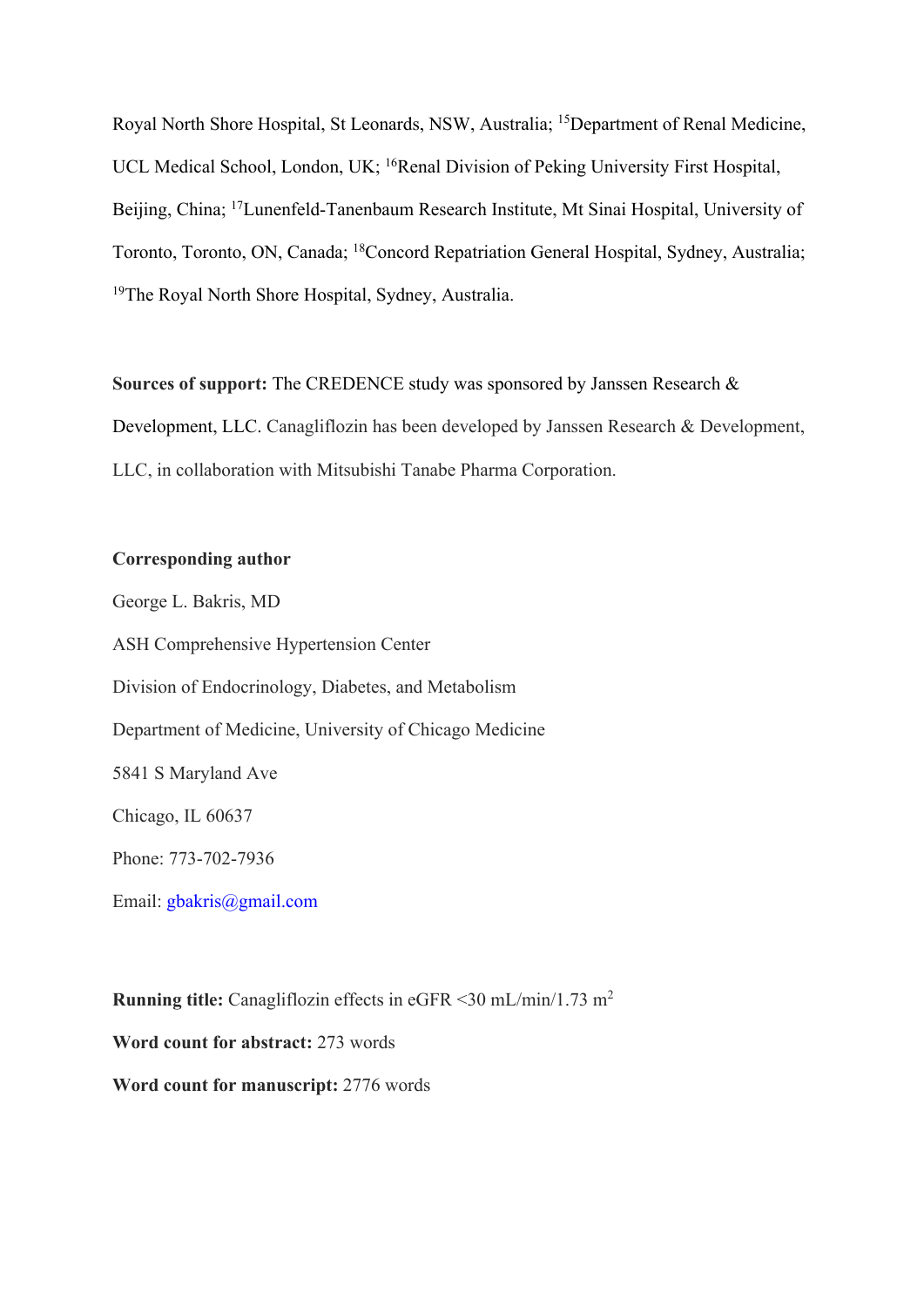Royal North Shore Hospital, St Leonards, NSW, Australia; 15Department of Renal Medicine, UCL Medical School, London, UK; <sup>16</sup>Renal Division of Peking University First Hospital, Beijing, China; 17Lunenfeld-Tanenbaum Research Institute, Mt Sinai Hospital, University of Toronto, Toronto, ON, Canada; 18Concord Repatriation General Hospital, Sydney, Australia; 19The Royal North Shore Hospital, Sydney, Australia.

**Sources of support:** The CREDENCE study was sponsored by Janssen Research & Development, LLC. Canagliflozin has been developed by Janssen Research & Development, LLC, in collaboration with Mitsubishi Tanabe Pharma Corporation.

#### **Corresponding author**

George L. Bakris, MD ASH Comprehensive Hypertension Center Division of Endocrinology, Diabetes, and Metabolism Department of Medicine, University of Chicago Medicine 5841 S Maryland Ave Chicago, IL 60637 Phone: 773-702-7936 Email: gbakris@gmail.com

**Running title:** Canagliflozin effects in eGFR <30 mL/min/1.73 m2 **Word count for abstract:** 273 words **Word count for manuscript:** 2776 words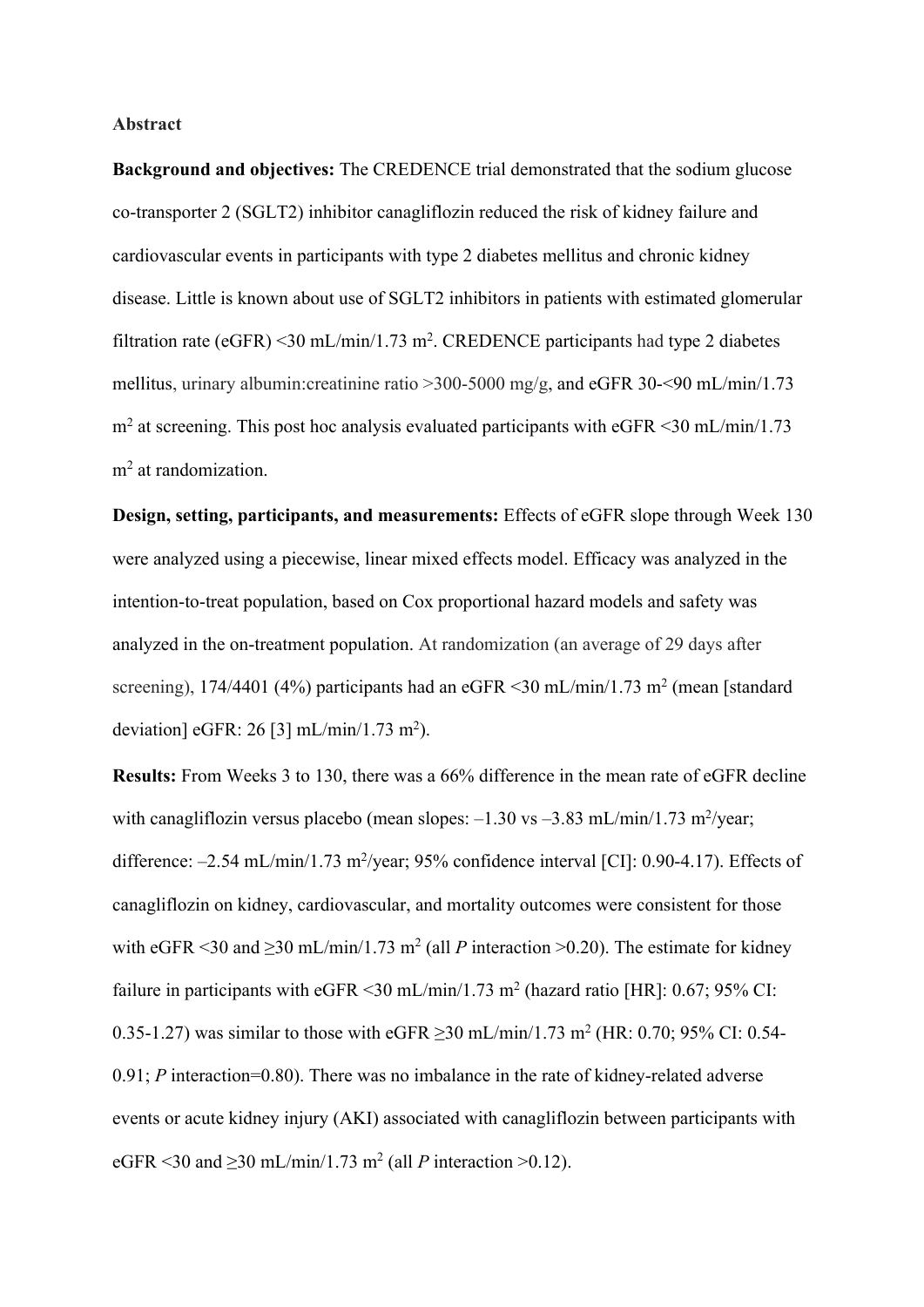# **Abstract**

**Background and objectives:** The CREDENCE trial demonstrated that the sodium glucose co-transporter 2 (SGLT2) inhibitor canagliflozin reduced the risk of kidney failure and cardiovascular events in participants with type 2 diabetes mellitus and chronic kidney disease. Little is known about use of SGLT2 inhibitors in patients with estimated glomerular filtration rate ( $eGFR$ ) <30 mL/min/1.73 m<sup>2</sup>. CREDENCE participants had type 2 diabetes mellitus, urinary albumin:creatinine ratio >300-5000 mg/g, and eGFR 30-<90 mL/min/1.73  $m<sup>2</sup>$  at screening. This post hoc analysis evaluated participants with eGFR <30 mL/min/1.73 m<sup>2</sup> at randomization.

**Design, setting, participants, and measurements:** Effects of eGFR slope through Week 130 were analyzed using a piecewise, linear mixed effects model. Efficacy was analyzed in the intention-to-treat population, based on Cox proportional hazard models and safety was analyzed in the on-treatment population. At randomization (an average of 29 days after screening), 174/4401 (4%) participants had an eGFR <30 mL/min/1.73 m<sup>2</sup> (mean [standard] deviation] eGFR: 26 [3] mL/min/1.73 m<sup>2</sup>).

**Results:** From Weeks 3 to 130, there was a 66% difference in the mean rate of eGFR decline with canagliflozin versus placebo (mean slopes:  $-1.30$  vs  $-3.83$  mL/min/1.73 m<sup>2</sup>/year; difference:  $-2.54$  mL/min/1.73 m<sup>2</sup>/year; 95% confidence interval [CI]: 0.90-4.17). Effects of canagliflozin on kidney, cardiovascular, and mortality outcomes were consistent for those with eGFR <30 and  $\geq$ 30 mL/min/1.73 m<sup>2</sup> (all *P* interaction >0.20). The estimate for kidney failure in participants with eGFR <30 mL/min/1.73 m<sup>2</sup> (hazard ratio [HR]: 0.67; 95% CI: 0.35-1.27) was similar to those with eGFR  $>$ 30 mL/min/1.73 m<sup>2</sup> (HR: 0.70; 95% CI: 0.54-0.91; *P* interaction=0.80). There was no imbalance in the rate of kidney-related adverse events or acute kidney injury (AKI) associated with canagliflozin between participants with eGFR <30 and  $\geq$ 30 mL/min/1.73 m<sup>2</sup> (all *P* interaction >0.12).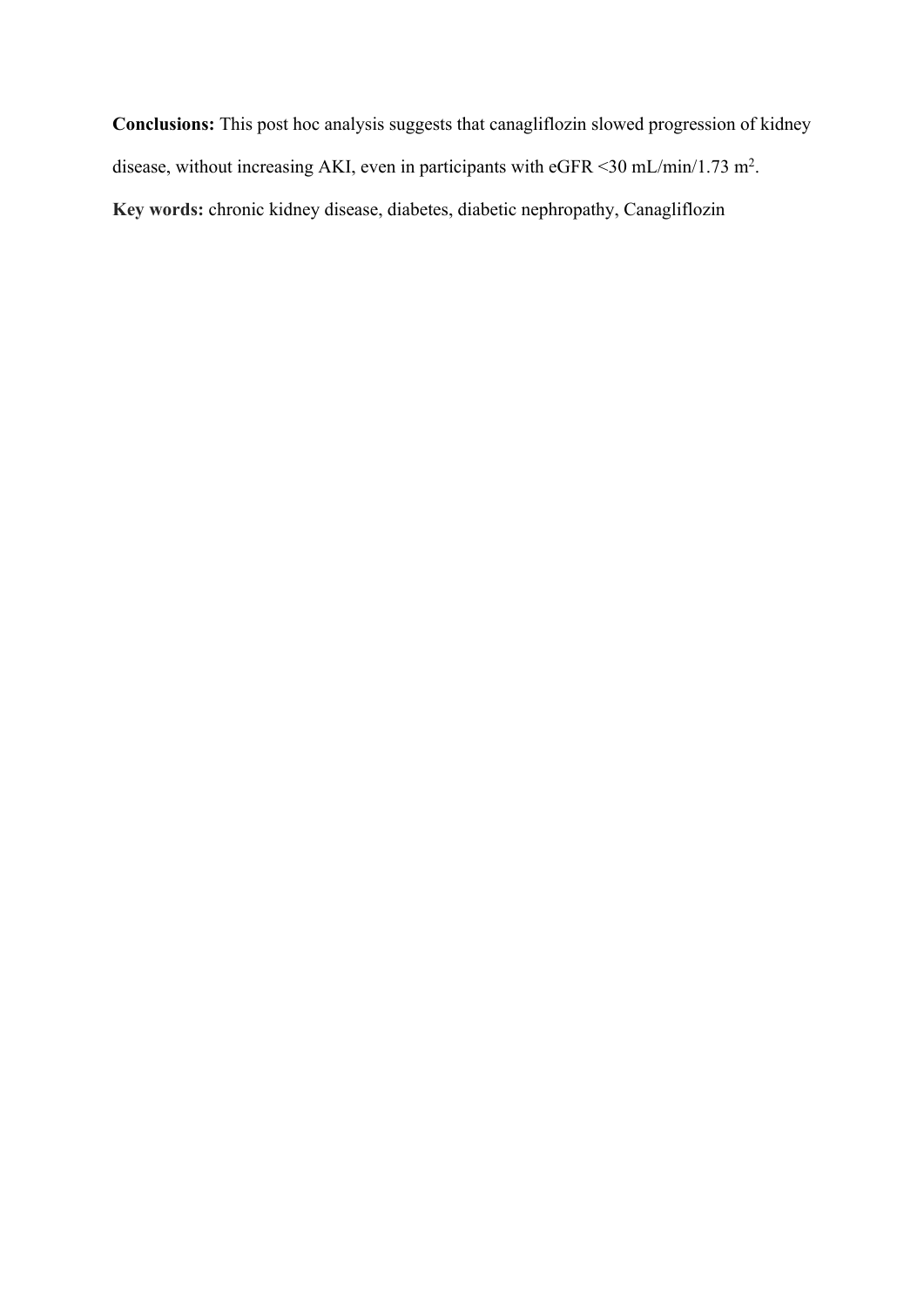**Conclusions:** This post hoc analysis suggests that canagliflozin slowed progression of kidney disease, without increasing AKI, even in participants with eGFR < 30 mL/min/1.73 m<sup>2</sup>. **Key words:** chronic kidney disease, diabetes, diabetic nephropathy, Canagliflozin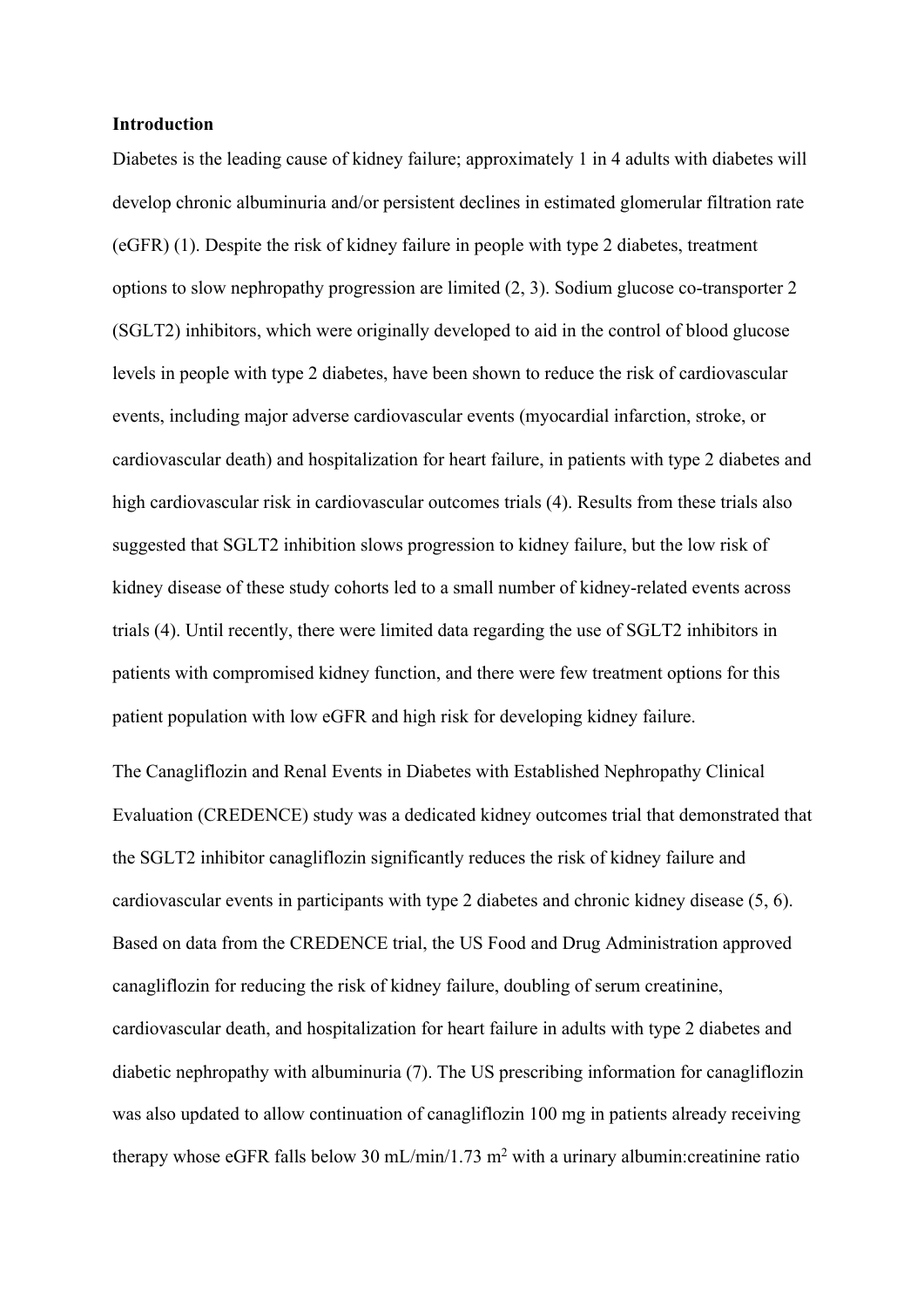#### **Introduction**

Diabetes is the leading cause of kidney failure; approximately 1 in 4 adults with diabetes will develop chronic albuminuria and/or persistent declines in estimated glomerular filtration rate (eGFR) (1). Despite the risk of kidney failure in people with type 2 diabetes, treatment options to slow nephropathy progression are limited (2, 3). Sodium glucose co-transporter 2 (SGLT2) inhibitors, which were originally developed to aid in the control of blood glucose levels in people with type 2 diabetes, have been shown to reduce the risk of cardiovascular events, including major adverse cardiovascular events (myocardial infarction, stroke, or cardiovascular death) and hospitalization for heart failure, in patients with type 2 diabetes and high cardiovascular risk in cardiovascular outcomes trials (4). Results from these trials also suggested that SGLT2 inhibition slows progression to kidney failure, but the low risk of kidney disease of these study cohorts led to a small number of kidney-related events across trials (4). Until recently, there were limited data regarding the use of SGLT2 inhibitors in patients with compromised kidney function, and there were few treatment options for this patient population with low eGFR and high risk for developing kidney failure.

The Canagliflozin and Renal Events in Diabetes with Established Nephropathy Clinical Evaluation (CREDENCE) study was a dedicated kidney outcomes trial that demonstrated that the SGLT2 inhibitor canagliflozin significantly reduces the risk of kidney failure and cardiovascular events in participants with type 2 diabetes and chronic kidney disease (5, 6). Based on data from the CREDENCE trial, the US Food and Drug Administration approved canagliflozin for reducing the risk of kidney failure, doubling of serum creatinine, cardiovascular death, and hospitalization for heart failure in adults with type 2 diabetes and diabetic nephropathy with albuminuria (7). The US prescribing information for canagliflozin was also updated to allow continuation of canagliflozin 100 mg in patients already receiving therapy whose eGFR falls below 30 mL/min/1.73 m<sup>2</sup> with a urinary albumin: creatinine ratio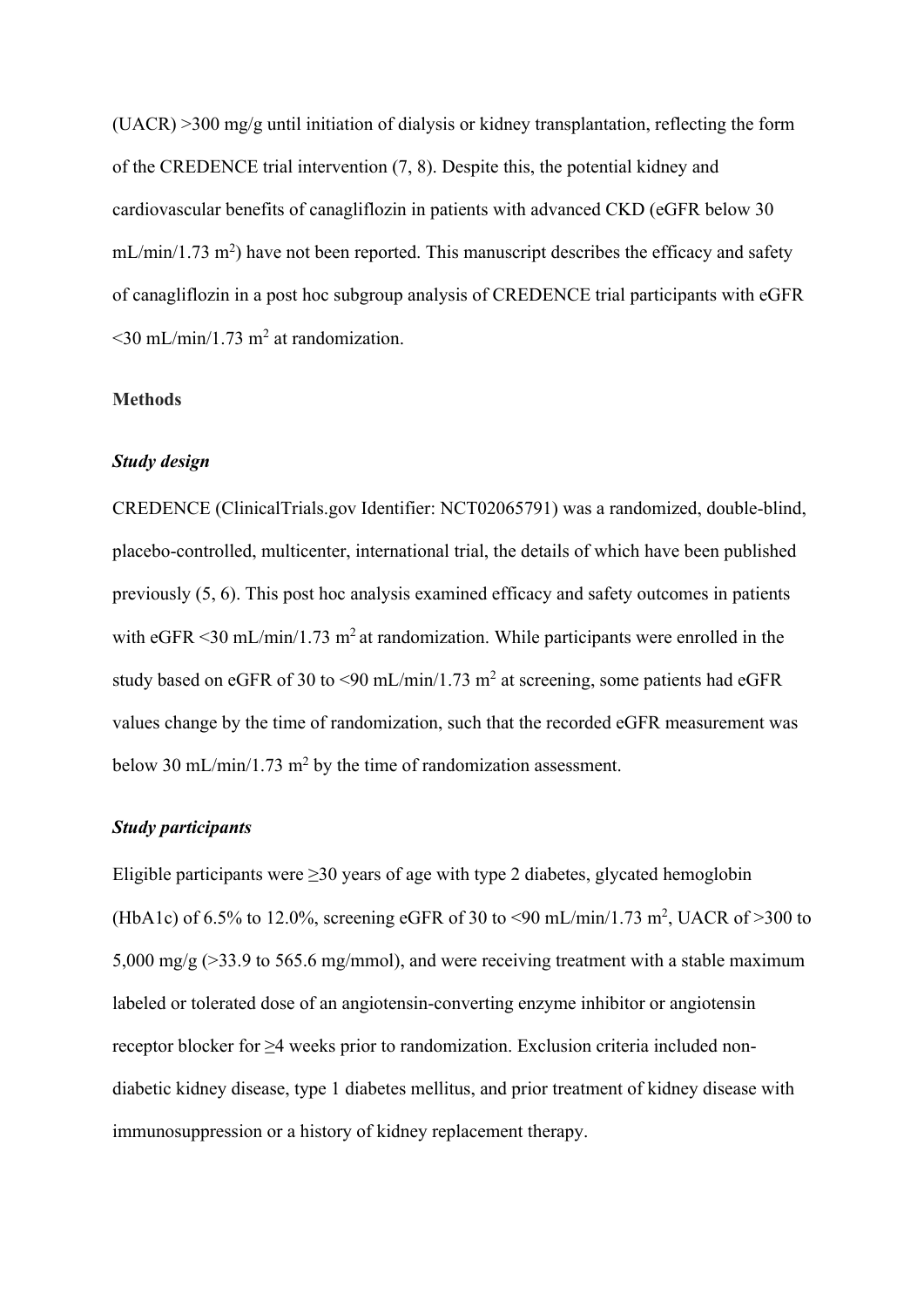(UACR) >300 mg/g until initiation of dialysis or kidney transplantation, reflecting the form of the CREDENCE trial intervention (7, 8). Despite this, the potential kidney and cardiovascular benefits of canagliflozin in patients with advanced CKD (eGFR below 30  $mL/min/1.73$  m<sup>2</sup>) have not been reported. This manuscript describes the efficacy and safety of canagliflozin in a post hoc subgroup analysis of CREDENCE trial participants with eGFR  $\leq$ 30 mL/min/1.73 m<sup>2</sup> at randomization.

#### **Methods**

#### *Study design*

CREDENCE (ClinicalTrials.gov Identifier: NCT02065791) was a randomized, double-blind, placebo-controlled, multicenter, international trial, the details of which have been published previously (5, 6). This post hoc analysis examined efficacy and safety outcomes in patients with  $eGFR < 30$  mL/min/1.73 m<sup>2</sup> at randomization. While participants were enrolled in the study based on eGFR of 30 to <90 mL/min/1.73 m<sup>2</sup> at screening, some patients had eGFR values change by the time of randomization, such that the recorded eGFR measurement was below 30 mL/min/1.73 m<sup>2</sup> by the time of randomization assessment.

## *Study participants*

Eligible participants were ≥30 years of age with type 2 diabetes, glycated hemoglobin (HbA1c) of 6.5% to 12.0%, screening eGFR of 30 to <90 mL/min/1.73 m<sup>2</sup>, UACR of >300 to 5,000 mg/g (>33.9 to 565.6 mg/mmol), and were receiving treatment with a stable maximum labeled or tolerated dose of an angiotensin-converting enzyme inhibitor or angiotensin receptor blocker for ≥4 weeks prior to randomization. Exclusion criteria included nondiabetic kidney disease, type 1 diabetes mellitus, and prior treatment of kidney disease with immunosuppression or a history of kidney replacement therapy.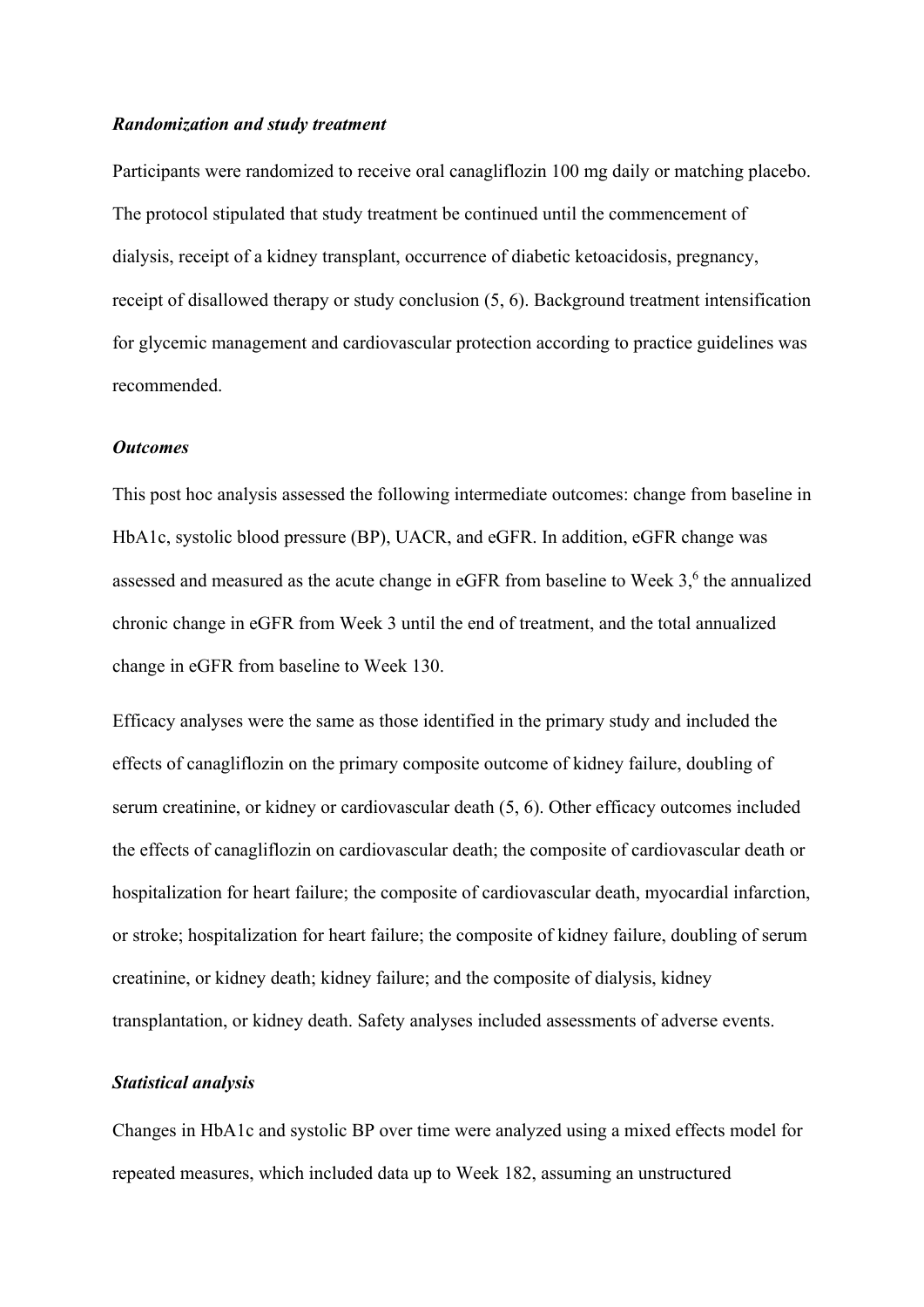#### *Randomization and study treatment*

Participants were randomized to receive oral canagliflozin 100 mg daily or matching placebo. The protocol stipulated that study treatment be continued until the commencement of dialysis, receipt of a kidney transplant, occurrence of diabetic ketoacidosis, pregnancy, receipt of disallowed therapy or study conclusion (5, 6). Background treatment intensification for glycemic management and cardiovascular protection according to practice guidelines was recommended.

#### *Outcomes*

This post hoc analysis assessed the following intermediate outcomes: change from baseline in HbA1c, systolic blood pressure (BP), UACR, and eGFR. In addition, eGFR change was assessed and measured as the acute change in eGFR from baseline to Week  $3<sup>6</sup>$ , the annualized chronic change in eGFR from Week 3 until the end of treatment, and the total annualized change in eGFR from baseline to Week 130.

Efficacy analyses were the same as those identified in the primary study and included the effects of canagliflozin on the primary composite outcome of kidney failure, doubling of serum creatinine, or kidney or cardiovascular death (5, 6). Other efficacy outcomes included the effects of canagliflozin on cardiovascular death; the composite of cardiovascular death or hospitalization for heart failure; the composite of cardiovascular death, myocardial infarction, or stroke; hospitalization for heart failure; the composite of kidney failure, doubling of serum creatinine, or kidney death; kidney failure; and the composite of dialysis, kidney transplantation, or kidney death. Safety analyses included assessments of adverse events.

## *Statistical analysis*

Changes in HbA1c and systolic BP over time were analyzed using a mixed effects model for repeated measures, which included data up to Week 182, assuming an unstructured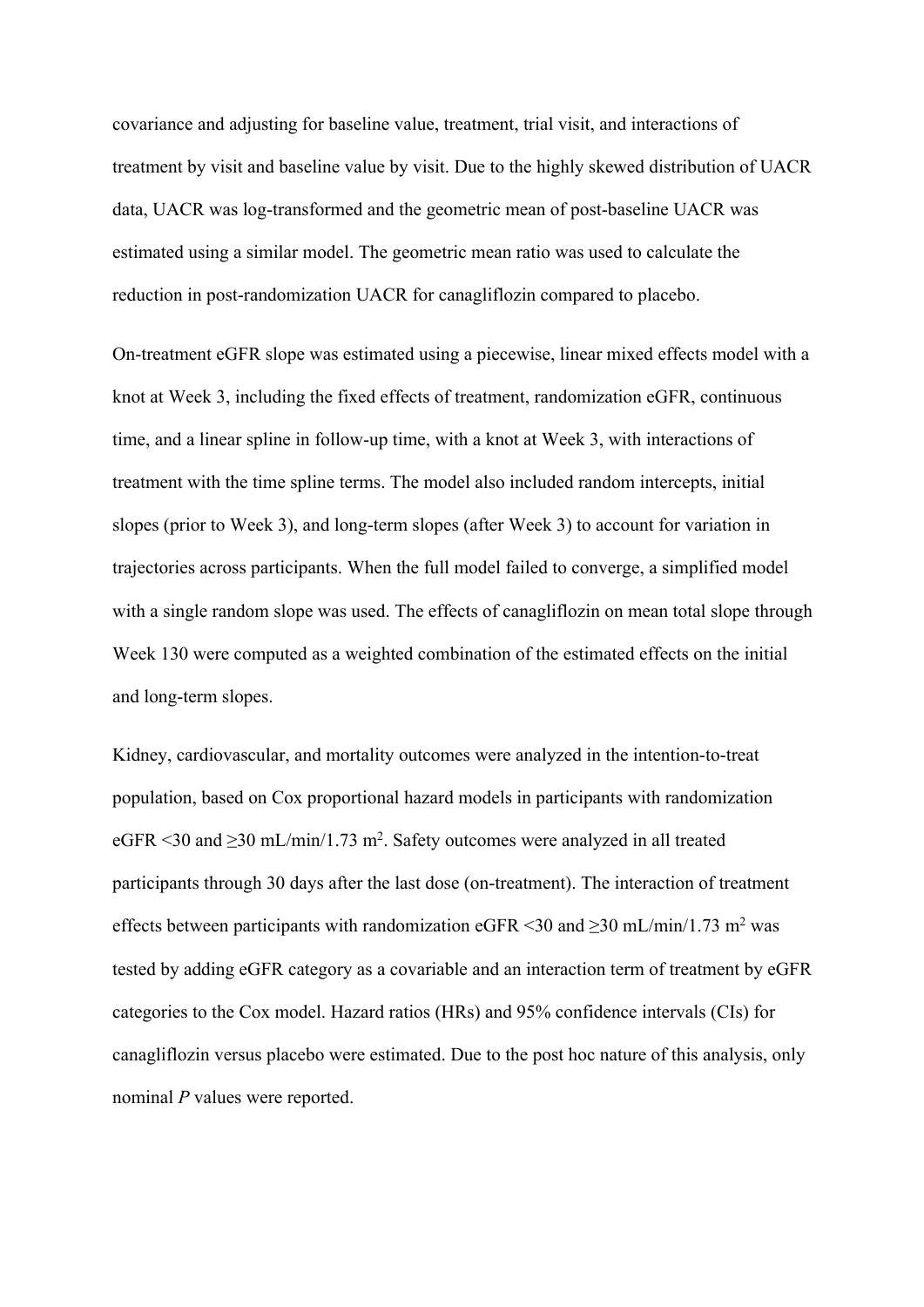covariance and adjusting for baseline value, treatment, trial visit, and interactions of treatment by visit and baseline value by visit. Due to the highly skewed distribution of UACR data, UACR was log-transformed and the geometric mean of post-baseline UACR was estimated using a similar model. The geometric mean ratio was used to calculate the reduction in post-randomization UACR for canagliflozin compared to placebo.

On-treatment eGFR slope was estimated using a piecewise, linear mixed effects model with a knot at Week 3, including the fixed effects of treatment, randomization eGFR, continuous time, and a linear spline in follow-up time, with a knot at Week 3, with interactions of treatment with the time spline terms. The model also included random intercepts, initial slopes (prior to Week 3), and long-term slopes (after Week 3) to account for variation in trajectories across participants. When the full model failed to converge, a simplified model with a single random slope was used. The effects of canagliflozin on mean total slope through Week 130 were computed as a weighted combination of the estimated effects on the initial and long-term slopes.

Kidney, cardiovascular, and mortality outcomes were analyzed in the intention-to-treat population, based on Cox proportional hazard models in participants with randomization eGFR <30 and  $\geq$ 30 mL/min/1.73 m<sup>2</sup>. Safety outcomes were analyzed in all treated participants through 30 days after the last dose (on-treatment). The interaction of treatment effects between participants with randomization eGFR <30 and  $\geq$ 30 mL/min/1.73 m<sup>2</sup> was tested by adding eGFR category as a covariable and an interaction term of treatment by eGFR categories to the Cox model. Hazard ratios (HRs) and 95% confidence intervals (CIs) for canagliflozin versus placebo were estimated. Due to the post hoc nature of this analysis, only nominal *P* values were reported.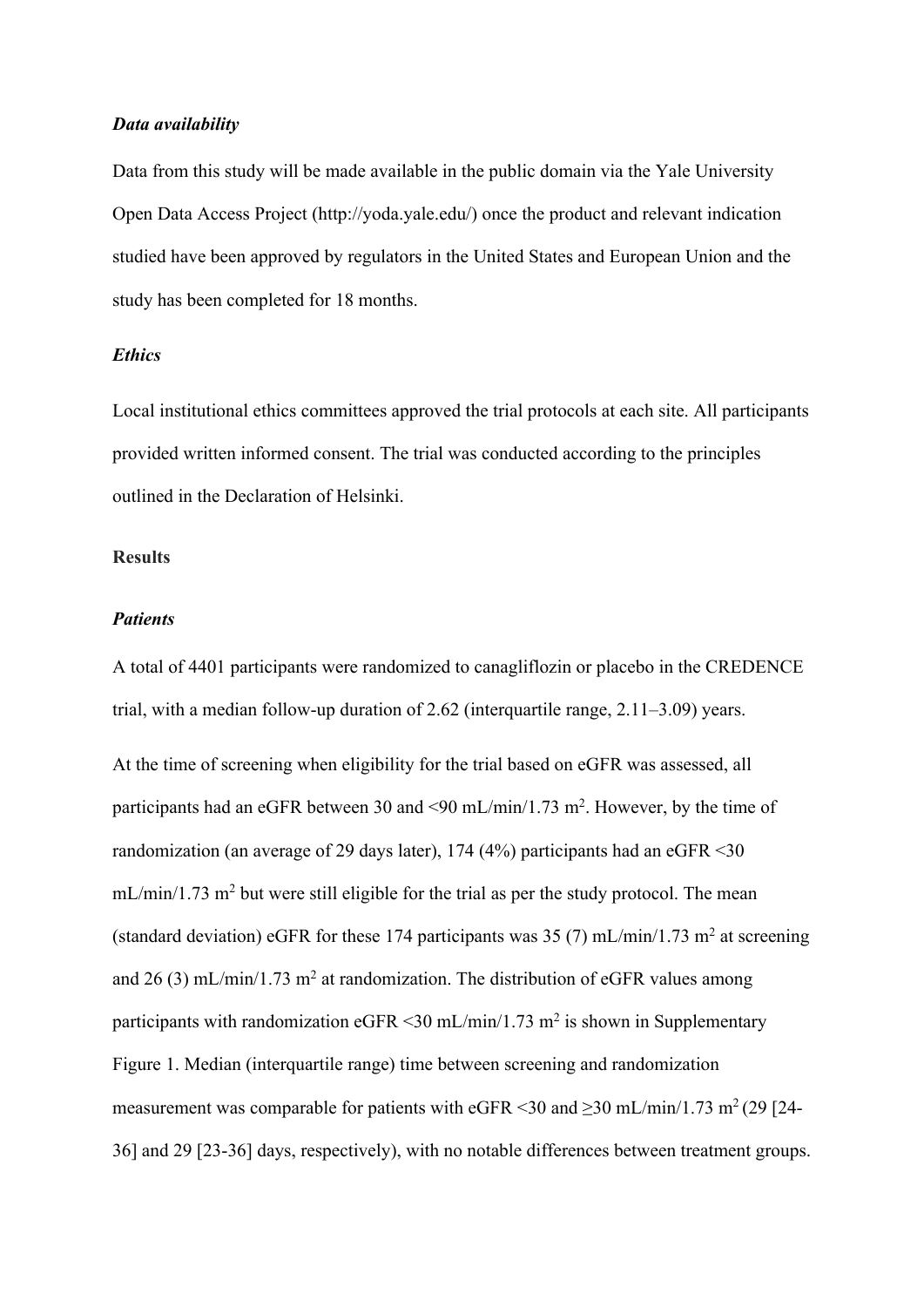## *Data availability*

Data from this study will be made available in the public domain via the Yale University Open Data Access Project (http://yoda.yale.edu/) once the product and relevant indication studied have been approved by regulators in the United States and European Union and the study has been completed for 18 months.

# *Ethics*

Local institutional ethics committees approved the trial protocols at each site. All participants provided written informed consent. The trial was conducted according to the principles outlined in the Declaration of Helsinki.

#### **Results**

#### *Patients*

A total of 4401 participants were randomized to canagliflozin or placebo in the CREDENCE trial, with a median follow-up duration of 2.62 (interquartile range, 2.11–3.09) years. At the time of screening when eligibility for the trial based on eGFR was assessed, all participants had an eGFR between 30 and <90 mL/min/1.73 m<sup>2</sup>. However, by the time of randomization (an average of 29 days later), 174 (4%) participants had an eGFR <30  $mL/min/1.73$  m<sup>2</sup> but were still eligible for the trial as per the study protocol. The mean (standard deviation) eGFR for these 174 participants was 35 (7) mL/min/1.73 m<sup>2</sup> at screening and 26 (3) mL/min/1.73 m<sup>2</sup> at randomization. The distribution of eGFR values among participants with randomization eGFR  $\leq$ 30 mL/min/1.73 m<sup>2</sup> is shown in Supplementary Figure 1. Median (interquartile range) time between screening and randomization measurement was comparable for patients with eGFR <30 and  $\geq$ 30 mL/min/1.73 m<sup>2</sup> (29 [24-36] and 29 [23-36] days, respectively), with no notable differences between treatment groups.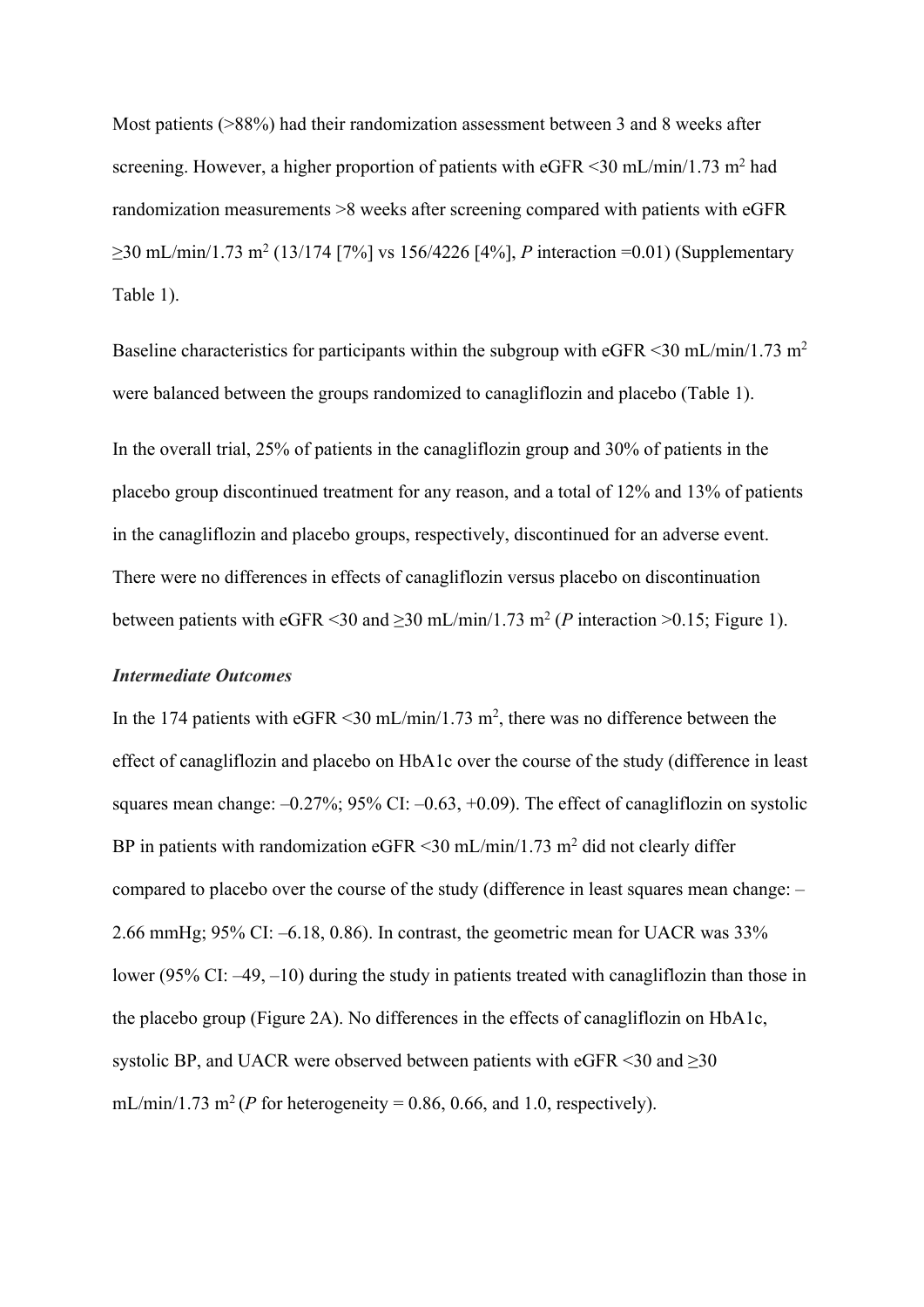Most patients (>88%) had their randomization assessment between 3 and 8 weeks after screening. However, a higher proportion of patients with eGFR  $\leq$ 30 mL/min/1.73 m<sup>2</sup> had randomization measurements >8 weeks after screening compared with patients with eGFR ≥30 mL/min/1.73 m2 (13/174 [7%] vs 156/4226 [4%], *P* interaction =0.01) (Supplementary Table 1).

Baseline characteristics for participants within the subgroup with eGFR  $\leq$ 30 mL/min/1.73 m<sup>2</sup> were balanced between the groups randomized to canagliflozin and placebo (Table 1). In the overall trial, 25% of patients in the canagliflozin group and 30% of patients in the placebo group discontinued treatment for any reason, and a total of 12% and 13% of patients in the canagliflozin and placebo groups, respectively, discontinued for an adverse event. There were no differences in effects of canagliflozin versus placebo on discontinuation between patients with eGFR <30 and  $\geq$ 30 mL/min/1.73 m<sup>2</sup> (*P* interaction >0.15; Figure 1).

# *Intermediate Outcomes*

In the 174 patients with eGFR < 30 mL/min/1.73 m<sup>2</sup>, there was no difference between the effect of canagliflozin and placebo on HbA1c over the course of the study (difference in least squares mean change:  $-0.27\%$ ; 95% CI:  $-0.63$ ,  $+0.09$ ). The effect of canagliflozin on systolic BP in patients with randomization eGFR  $\leq$  30 mL/min/1.73 m<sup>2</sup> did not clearly differ compared to placebo over the course of the study (difference in least squares mean change: – 2.66 mmHg; 95% CI: –6.18, 0.86). In contrast, the geometric mean for UACR was 33% lower (95% CI: –49, –10) during the study in patients treated with canagliflozin than those in the placebo group (Figure 2A). No differences in the effects of canagliflozin on HbA1c, systolic BP, and UACR were observed between patients with eGFR <30 and >30 mL/min/1.73 m<sup>2</sup> (*P* for heterogeneity = 0.86, 0.66, and 1.0, respectively).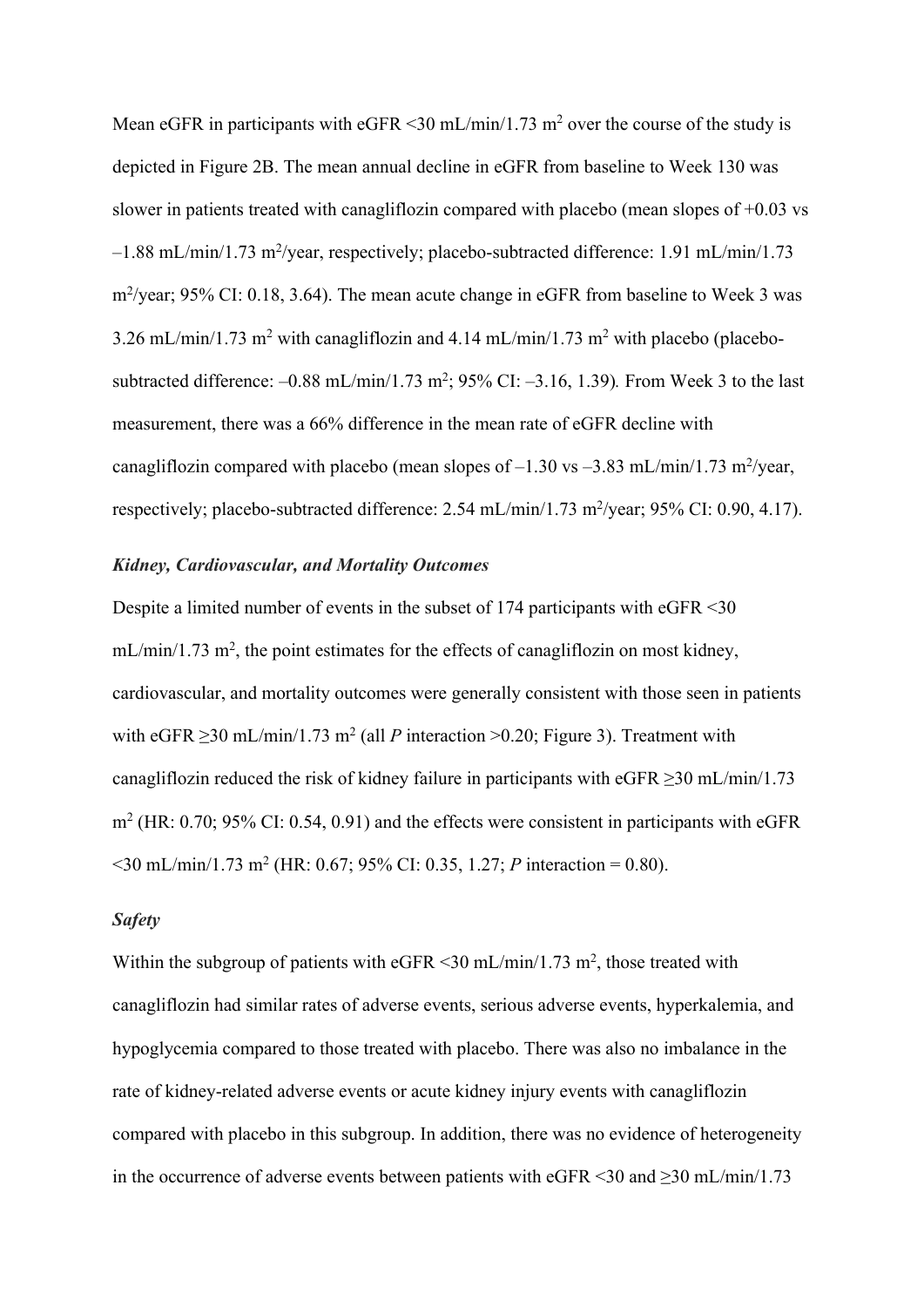Mean eGFR in participants with eGFR  $\leq$ 30 mL/min/1.73 m<sup>2</sup> over the course of the study is depicted in Figure 2B. The mean annual decline in eGFR from baseline to Week 130 was slower in patients treated with canagliflozin compared with placebo (mean slopes of +0.03 vs -1.88 mL/min/1.73 m<sup>2</sup>/year, respectively; placebo-subtracted difference: 1.91 mL/min/1.73 m<sup>2</sup>/year; 95% CI: 0.18, 3.64). The mean acute change in eGFR from baseline to Week 3 was  $3.26$  mL/min/1.73 m<sup>2</sup> with canagliflozin and  $4.14$  mL/min/1.73 m<sup>2</sup> with placebo (placebosubtracted difference:  $-0.88 \text{ mL/min}/1.73 \text{ m}^2$ ; 95% CI:  $-3.16$ , 1.39). From Week 3 to the last measurement, there was a 66% difference in the mean rate of eGFR decline with canagliflozin compared with placebo (mean slopes of  $-1.30$  vs  $-3.83$  mL/min/1.73 m<sup>2</sup>/year, respectively; placebo-subtracted difference: 2.54 mL/min/1.73 m<sup>2</sup>/year; 95% CI: 0.90, 4.17).

#### *Kidney, Cardiovascular, and Mortality Outcomes*

Despite a limited number of events in the subset of 174 participants with eGFR <30  $mL/min/1.73$  m<sup>2</sup>, the point estimates for the effects of canagliflozin on most kidney, cardiovascular, and mortality outcomes were generally consistent with those seen in patients with eGFR  $\geq$ 30 mL/min/1.73 m<sup>2</sup> (all *P* interaction  $\geq$  0.20; Figure 3). Treatment with canagliflozin reduced the risk of kidney failure in participants with eGFR  $\geq$ 30 mL/min/1.73  $m<sup>2</sup>$  (HR: 0.70; 95% CI: 0.54, 0.91) and the effects were consistent in participants with eGFR  $\leq$ 30 mL/min/1.73 m<sup>2</sup> (HR: 0.67; 95% CI: 0.35, 1.27; *P* interaction = 0.80).

#### *Safety*

Within the subgroup of patients with eGFR  $\leq$  30 mL/min/1.73 m<sup>2</sup>, those treated with canagliflozin had similar rates of adverse events, serious adverse events, hyperkalemia, and hypoglycemia compared to those treated with placebo. There was also no imbalance in the rate of kidney-related adverse events or acute kidney injury events with canagliflozin compared with placebo in this subgroup. In addition, there was no evidence of heterogeneity in the occurrence of adverse events between patients with eGFR <30 and  $\geq$ 30 mL/min/1.73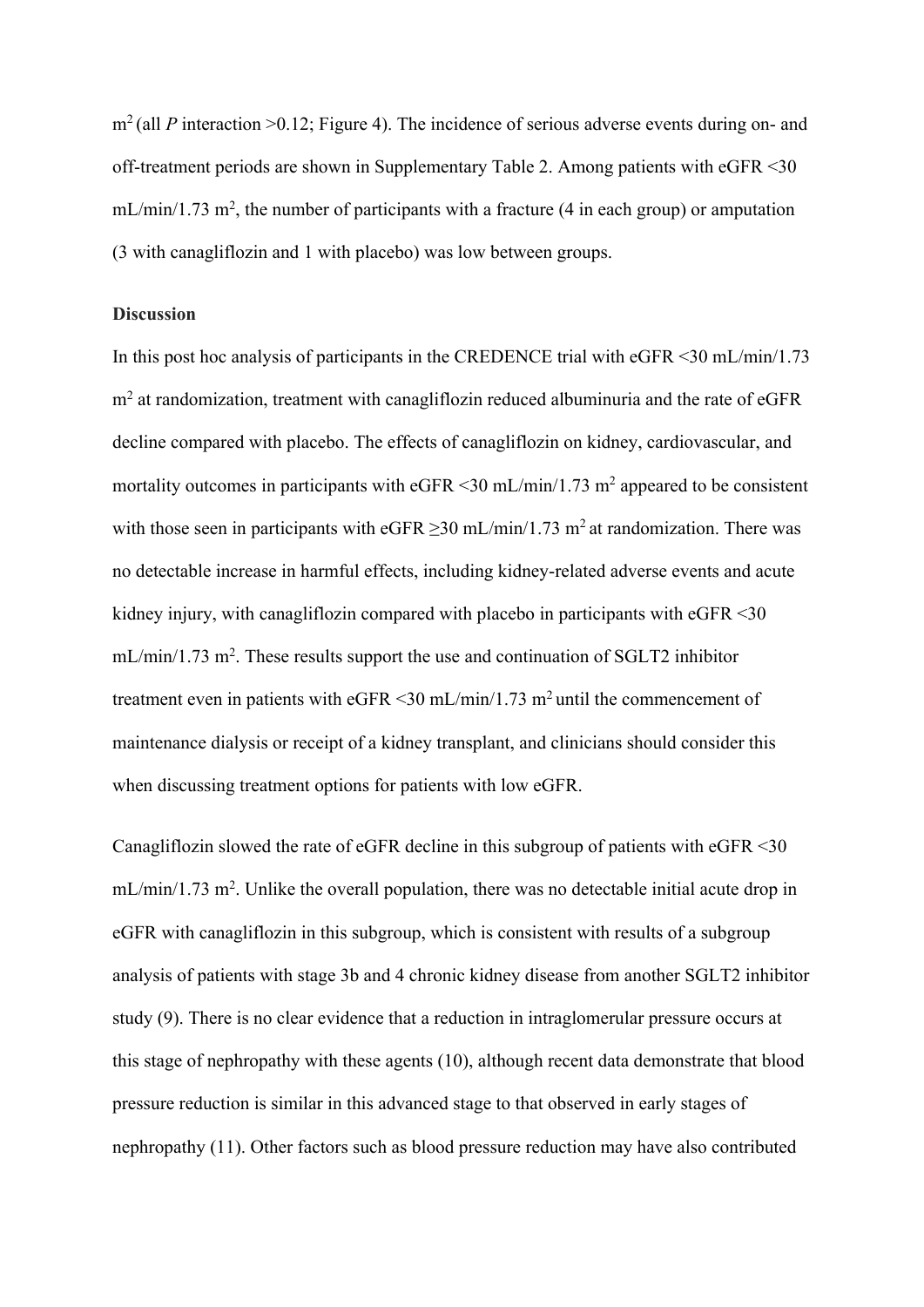m<sup>2</sup> (all *P* interaction >0.12; Figure 4). The incidence of serious adverse events during on- and off-treatment periods are shown in Supplementary Table 2. Among patients with eGFR <30  $mL/min/1.73 m<sup>2</sup>$ , the number of participants with a fracture (4 in each group) or amputation (3 with canagliflozin and 1 with placebo) was low between groups.

## **Discussion**

In this post hoc analysis of participants in the CREDENCE trial with eGFR <30 mL/min/1.73 m2 at randomization, treatment with canagliflozin reduced albuminuria and the rate of eGFR decline compared with placebo. The effects of canagliflozin on kidney, cardiovascular, and mortality outcomes in participants with eGFR  $\leq$ 30 mL/min/1.73 m<sup>2</sup> appeared to be consistent with those seen in participants with eGFR  $\geq$ 30 mL/min/1.73 m<sup>2</sup> at randomization. There was no detectable increase in harmful effects, including kidney-related adverse events and acute kidney injury, with canagliflozin compared with placebo in participants with eGFR <30  $mL/min/1.73$  m<sup>2</sup>. These results support the use and continuation of SGLT2 inhibitor treatment even in patients with eGFR <30 mL/min/1.73 m<sup>2</sup> until the commencement of maintenance dialysis or receipt of a kidney transplant, and clinicians should consider this when discussing treatment options for patients with low eGFR.

Canagliflozin slowed the rate of eGFR decline in this subgroup of patients with eGFR <30  $mL/min/1.73 m<sup>2</sup>$ . Unlike the overall population, there was no detectable initial acute drop in eGFR with canagliflozin in this subgroup, which is consistent with results of a subgroup analysis of patients with stage 3b and 4 chronic kidney disease from another SGLT2 inhibitor study (9). There is no clear evidence that a reduction in intraglomerular pressure occurs at this stage of nephropathy with these agents (10), although recent data demonstrate that blood pressure reduction is similar in this advanced stage to that observed in early stages of nephropathy (11). Other factors such as blood pressure reduction may have also contributed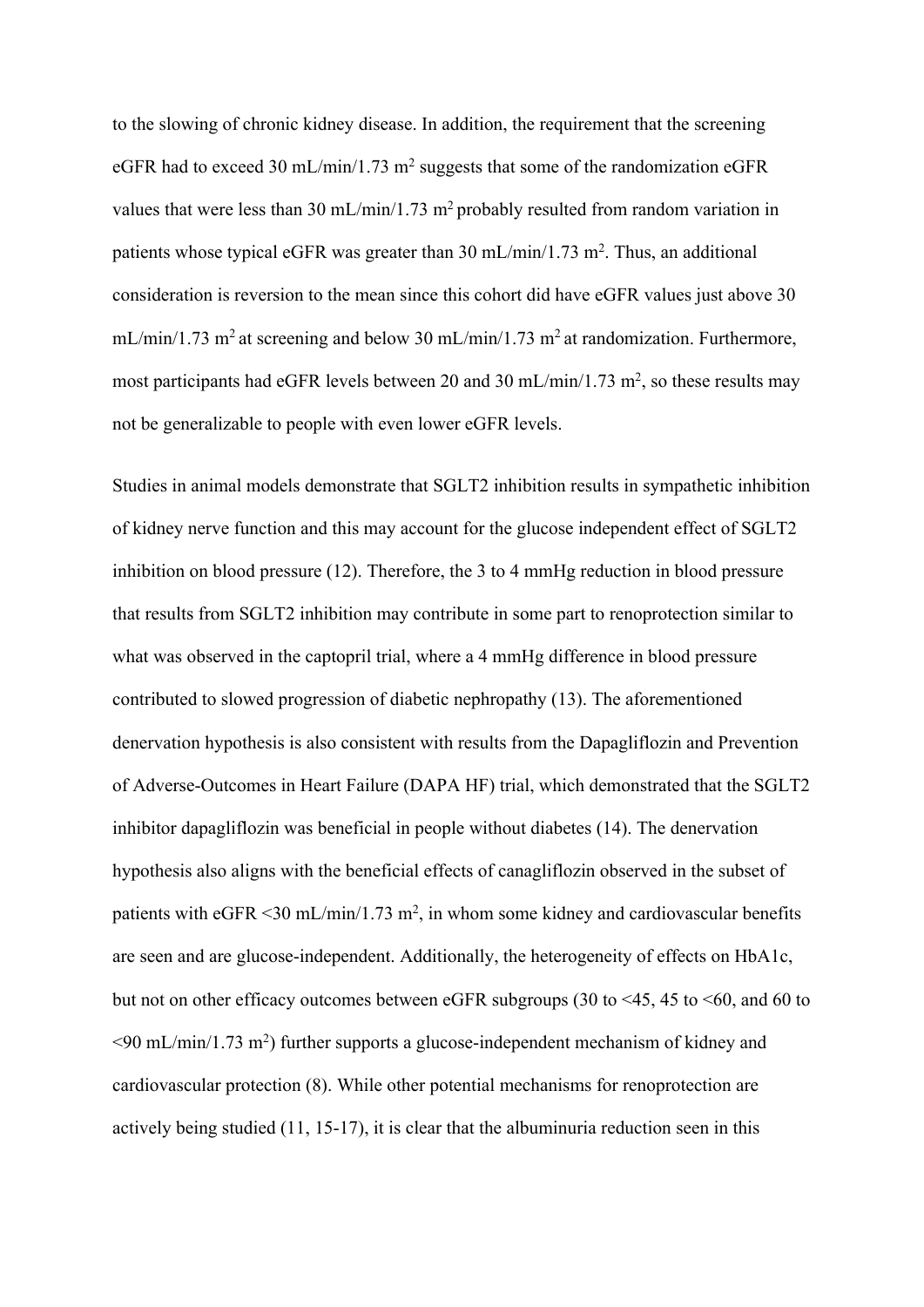to the slowing of chronic kidney disease. In addition, the requirement that the screening eGFR had to exceed 30 mL/min/1.73 m<sup>2</sup> suggests that some of the randomization eGFR values that were less than 30 mL/min/1.73 m<sup>2</sup> probably resulted from random variation in patients whose typical eGFR was greater than 30 mL/min/1.73 m<sup>2</sup>. Thus, an additional consideration is reversion to the mean since this cohort did have eGFR values just above 30  $mL/min/1.73$  m<sup>2</sup> at screening and below 30 mL/min/1.73 m<sup>2</sup> at randomization. Furthermore, most participants had eGFR levels between 20 and 30 mL/min/1.73 m<sup>2</sup>, so these results may not be generalizable to people with even lower eGFR levels.

Studies in animal models demonstrate that SGLT2 inhibition results in sympathetic inhibition of kidney nerve function and this may account for the glucose independent effect of SGLT2 inhibition on blood pressure (12). Therefore, the 3 to 4 mmHg reduction in blood pressure that results from SGLT2 inhibition may contribute in some part to renoprotection similar to what was observed in the captopril trial, where a 4 mmHg difference in blood pressure contributed to slowed progression of diabetic nephropathy (13). The aforementioned denervation hypothesis is also consistent with results from the Dapagliflozin and Prevention of Adverse-Outcomes in Heart Failure (DAPA HF) trial, which demonstrated that the SGLT2 inhibitor dapagliflozin was beneficial in people without diabetes (14). The denervation hypothesis also aligns with the beneficial effects of canagliflozin observed in the subset of patients with eGFR <30 mL/min/1.73 m<sup>2</sup>, in whom some kidney and cardiovascular benefits are seen and are glucose-independent. Additionally, the heterogeneity of effects on HbA1c, but not on other efficacy outcomes between eGFR subgroups (30 to <45, 45 to <60, and 60 to  $\leq$ 90 mL/min/1.73 m<sup>2</sup>) further supports a glucose-independent mechanism of kidney and cardiovascular protection (8). While other potential mechanisms for renoprotection are actively being studied (11, 15-17), it is clear that the albuminuria reduction seen in this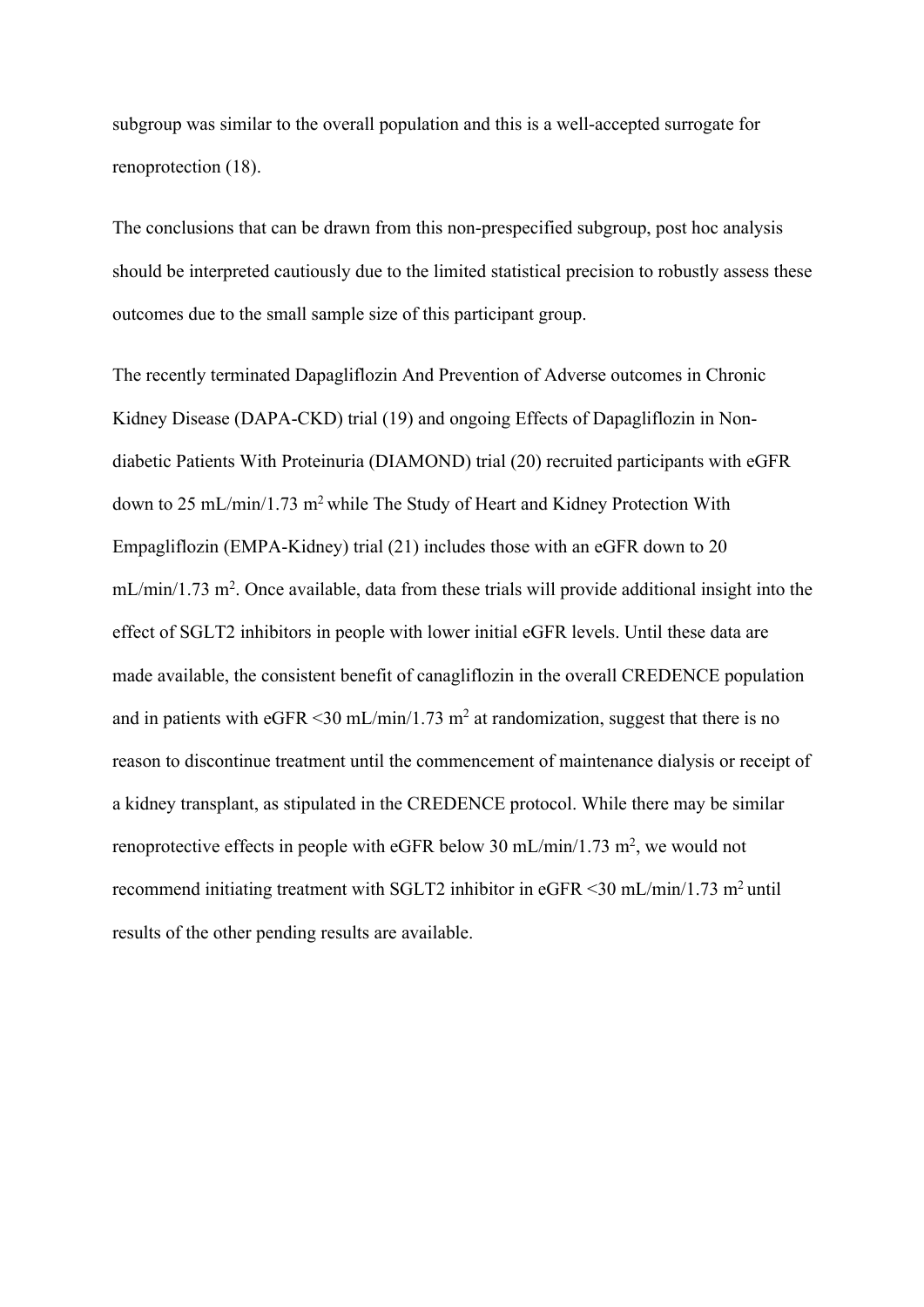subgroup was similar to the overall population and this is a well-accepted surrogate for renoprotection (18).

The conclusions that can be drawn from this non-prespecified subgroup, post hoc analysis should be interpreted cautiously due to the limited statistical precision to robustly assess these outcomes due to the small sample size of this participant group.

The recently terminated Dapagliflozin And Prevention of Adverse outcomes in Chronic Kidney Disease (DAPA-CKD) trial (19) and ongoing Effects of Dapagliflozin in Nondiabetic Patients With Proteinuria (DIAMOND) trial (20) recruited participants with eGFR down to 25 mL/min/1.73 m2 while The Study of Heart and Kidney Protection With Empagliflozin (EMPA-Kidney) trial (21) includes those with an eGFR down to 20  $mL/min/1.73$  m<sup>2</sup>. Once available, data from these trials will provide additional insight into the effect of SGLT2 inhibitors in people with lower initial eGFR levels. Until these data are made available, the consistent benefit of canagliflozin in the overall CREDENCE population and in patients with eGFR  $\leq$ 30 mL/min/1.73 m<sup>2</sup> at randomization, suggest that there is no reason to discontinue treatment until the commencement of maintenance dialysis or receipt of a kidney transplant, as stipulated in the CREDENCE protocol. While there may be similar renoprotective effects in people with eGFR below 30 mL/min/1.73 m<sup>2</sup>, we would not recommend initiating treatment with SGLT2 inhibitor in eGFR <30 mL/min/1.73 m2 until results of the other pending results are available.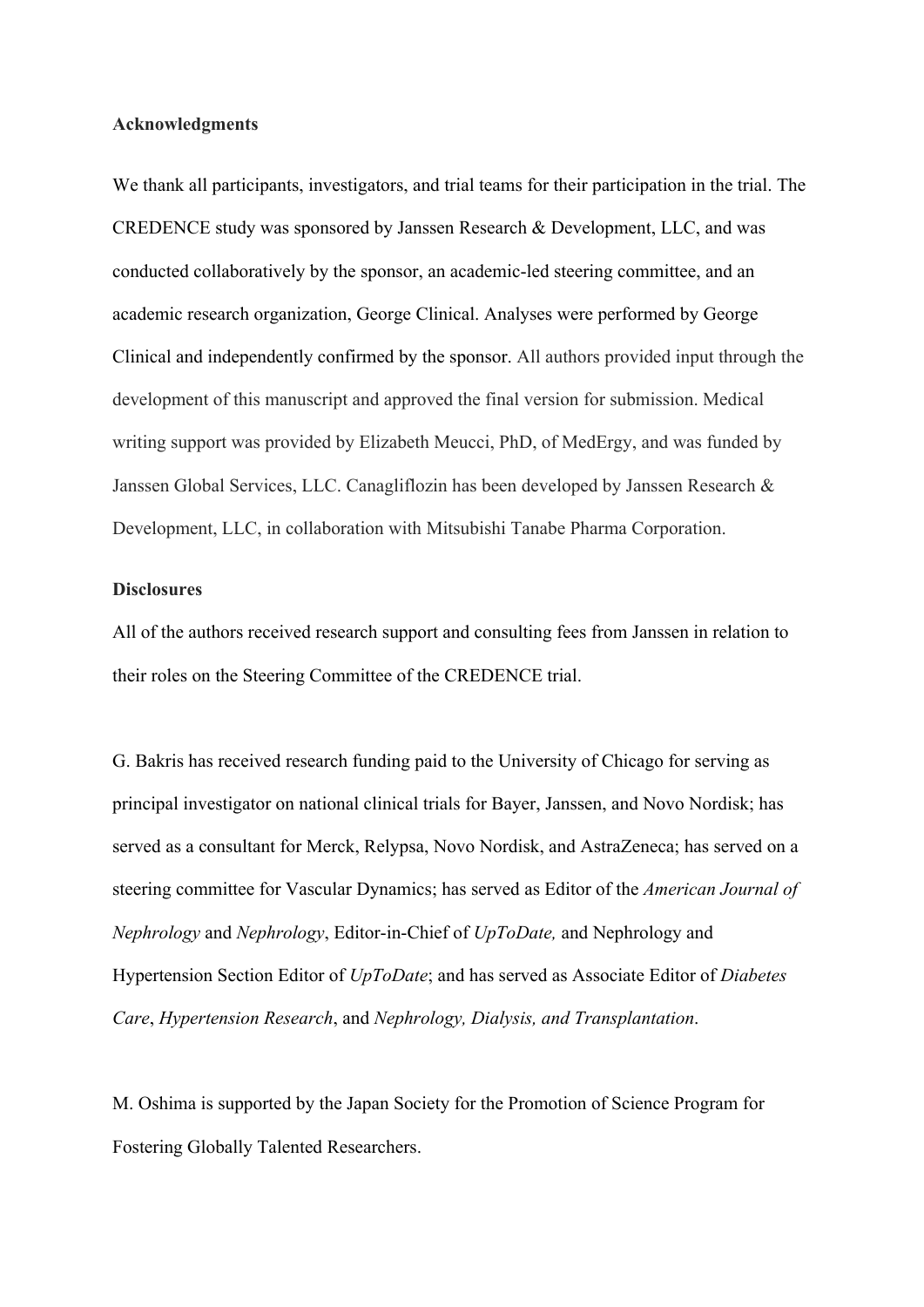#### **Acknowledgments**

We thank all participants, investigators, and trial teams for their participation in the trial. The CREDENCE study was sponsored by Janssen Research & Development, LLC, and was conducted collaboratively by the sponsor, an academic-led steering committee, and an academic research organization, George Clinical. Analyses were performed by George Clinical and independently confirmed by the sponsor. All authors provided input through the development of this manuscript and approved the final version for submission. Medical writing support was provided by Elizabeth Meucci, PhD, of MedErgy, and was funded by Janssen Global Services, LLC. Canagliflozin has been developed by Janssen Research & Development, LLC, in collaboration with Mitsubishi Tanabe Pharma Corporation.

## **Disclosures**

All of the authors received research support and consulting fees from Janssen in relation to their roles on the Steering Committee of the CREDENCE trial.

G. Bakris has received research funding paid to the University of Chicago for serving as principal investigator on national clinical trials for Bayer, Janssen, and Novo Nordisk; has served as a consultant for Merck, Relypsa, Novo Nordisk, and AstraZeneca; has served on a steering committee for Vascular Dynamics; has served as Editor of the *American Journal of Nephrology* and *Nephrology*, Editor-in-Chief of *UpToDate,* and Nephrology and Hypertension Section Editor of *UpToDate*; and has served as Associate Editor of *Diabetes Care*, *Hypertension Research*, and *Nephrology, Dialysis, and Transplantation*.

M. Oshima is supported by the Japan Society for the Promotion of Science Program for Fostering Globally Talented Researchers.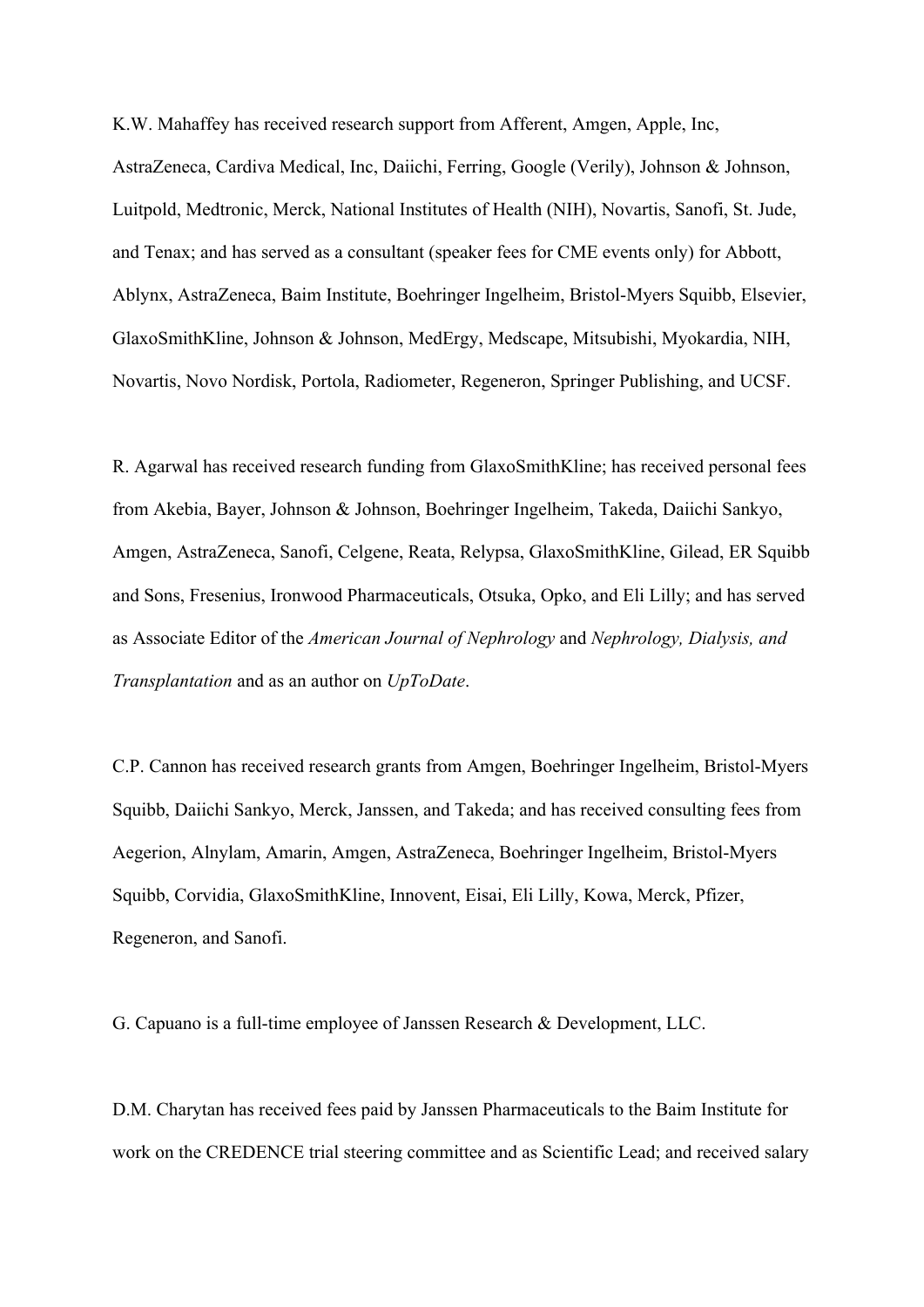K.W. Mahaffey has received research support from Afferent, Amgen, Apple, Inc, AstraZeneca, Cardiva Medical, Inc, Daiichi, Ferring, Google (Verily), Johnson & Johnson, Luitpold, Medtronic, Merck, National Institutes of Health (NIH), Novartis, Sanofi, St. Jude, and Tenax; and has served as a consultant (speaker fees for CME events only) for Abbott, Ablynx, AstraZeneca, Baim Institute, Boehringer Ingelheim, Bristol-Myers Squibb, Elsevier, GlaxoSmithKline, Johnson & Johnson, MedErgy, Medscape, Mitsubishi, Myokardia, NIH, Novartis, Novo Nordisk, Portola, Radiometer, Regeneron, Springer Publishing, and UCSF.

R. Agarwal has received research funding from GlaxoSmithKline; has received personal fees from Akebia, Bayer, Johnson & Johnson, Boehringer Ingelheim, Takeda, Daiichi Sankyo, Amgen, AstraZeneca, Sanofi, Celgene, Reata, Relypsa, GlaxoSmithKline, Gilead, ER Squibb and Sons, Fresenius, Ironwood Pharmaceuticals, Otsuka, Opko, and Eli Lilly; and has served as Associate Editor of the *American Journal of Nephrology* and *Nephrology, Dialysis, and Transplantation* and as an author on *UpToDate*.

C.P. Cannon has received research grants from Amgen, Boehringer Ingelheim, Bristol-Myers Squibb, Daiichi Sankyo, Merck, Janssen, and Takeda; and has received consulting fees from Aegerion, Alnylam, Amarin, Amgen, AstraZeneca, Boehringer Ingelheim, Bristol-Myers Squibb, Corvidia, GlaxoSmithKline, Innovent, Eisai, Eli Lilly, Kowa, Merck, Pfizer, Regeneron, and Sanofi.

G. Capuano is a full-time employee of Janssen Research & Development, LLC.

D.M. Charytan has received fees paid by Janssen Pharmaceuticals to the Baim Institute for work on the CREDENCE trial steering committee and as Scientific Lead; and received salary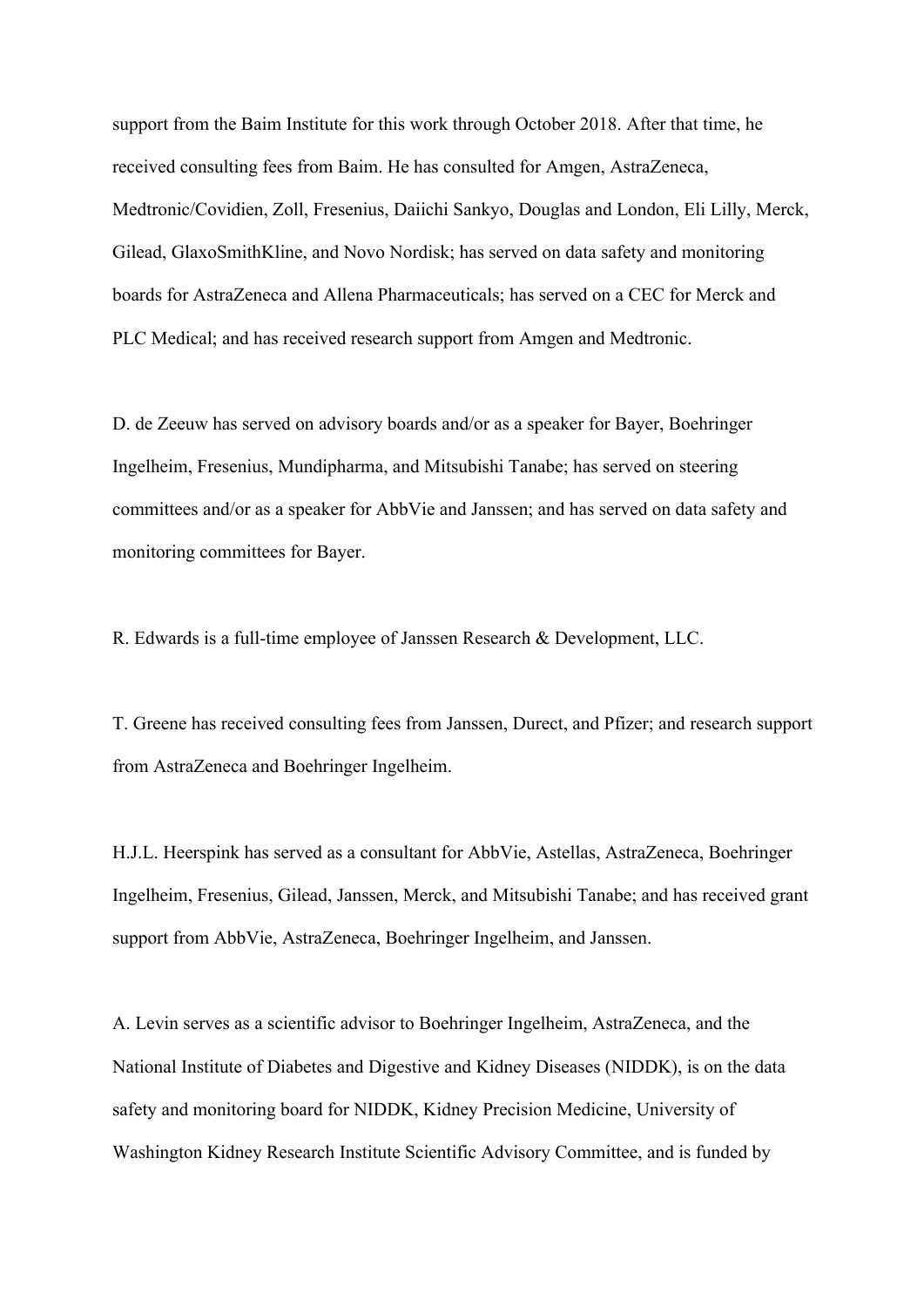support from the Baim Institute for this work through October 2018. After that time, he received consulting fees from Baim. He has consulted for Amgen, AstraZeneca, Medtronic/Covidien, Zoll, Fresenius, Daiichi Sankyo, Douglas and London, Eli Lilly, Merck, Gilead, GlaxoSmithKline, and Novo Nordisk; has served on data safety and monitoring boards for AstraZeneca and Allena Pharmaceuticals; has served on a CEC for Merck and PLC Medical; and has received research support from Amgen and Medtronic.

D. de Zeeuw has served on advisory boards and/or as a speaker for Bayer, Boehringer Ingelheim, Fresenius, Mundipharma, and Mitsubishi Tanabe; has served on steering committees and/or as a speaker for AbbVie and Janssen; and has served on data safety and monitoring committees for Bayer.

R. Edwards is a full-time employee of Janssen Research & Development, LLC.

T. Greene has received consulting fees from Janssen, Durect, and Pfizer; and research support from AstraZeneca and Boehringer Ingelheim.

H.J.L. Heerspink has served as a consultant for AbbVie, Astellas, AstraZeneca, Boehringer Ingelheim, Fresenius, Gilead, Janssen, Merck, and Mitsubishi Tanabe; and has received grant support from AbbVie, AstraZeneca, Boehringer Ingelheim, and Janssen.

A. Levin serves as a scientific advisor to Boehringer Ingelheim, AstraZeneca, and the National Institute of Diabetes and Digestive and Kidney Diseases (NIDDK), is on the data safety and monitoring board for NIDDK, Kidney Precision Medicine, University of Washington Kidney Research Institute Scientific Advisory Committee, and is funded by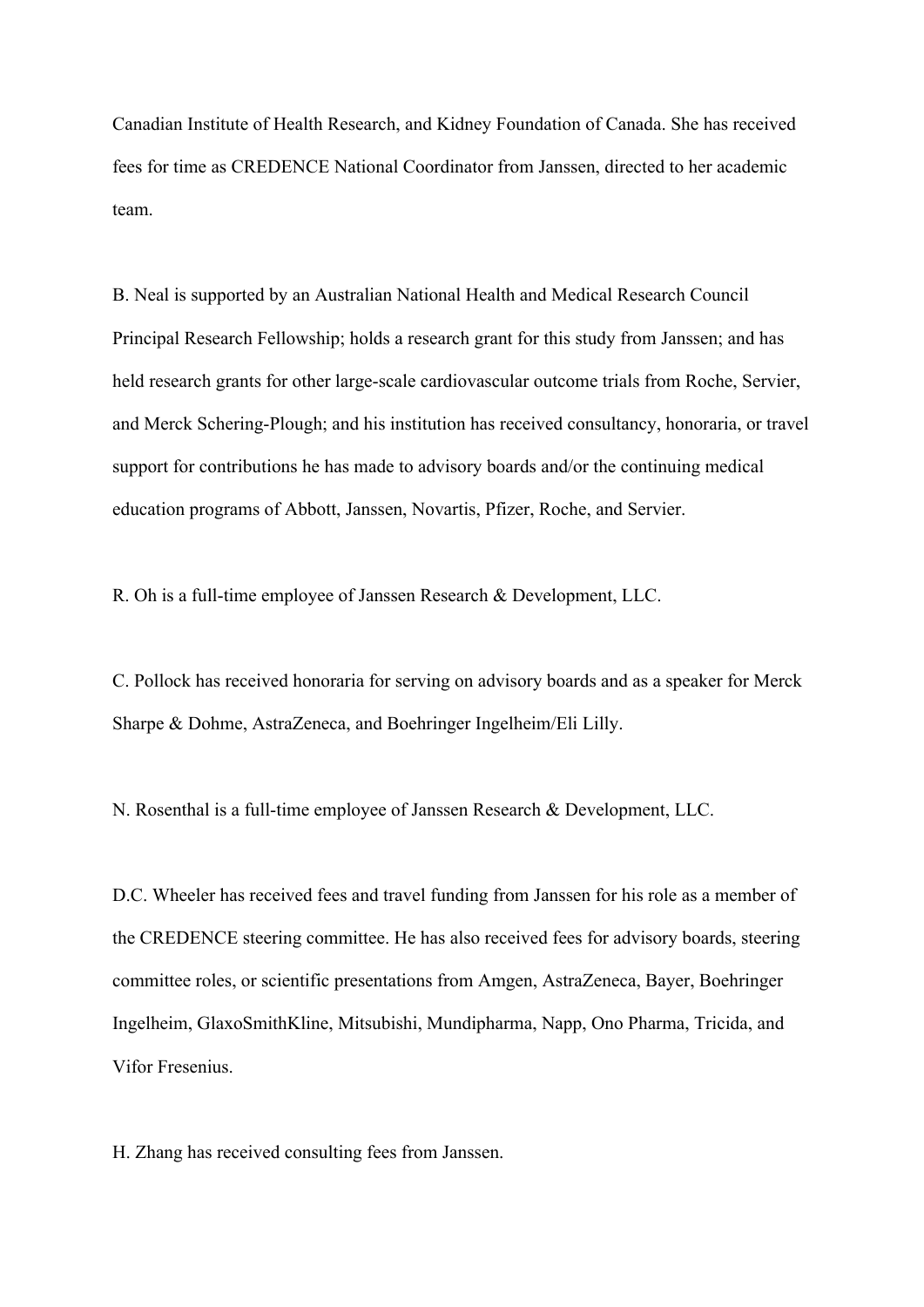Canadian Institute of Health Research, and Kidney Foundation of Canada. She has received fees for time as CREDENCE National Coordinator from Janssen, directed to her academic team.

B. Neal is supported by an Australian National Health and Medical Research Council Principal Research Fellowship; holds a research grant for this study from Janssen; and has held research grants for other large-scale cardiovascular outcome trials from Roche, Servier, and Merck Schering-Plough; and his institution has received consultancy, honoraria, or travel support for contributions he has made to advisory boards and/or the continuing medical education programs of Abbott, Janssen, Novartis, Pfizer, Roche, and Servier.

R. Oh is a full-time employee of Janssen Research & Development, LLC.

C. Pollock has received honoraria for serving on advisory boards and as a speaker for Merck Sharpe & Dohme, AstraZeneca, and Boehringer Ingelheim/Eli Lilly.

N. Rosenthal is a full-time employee of Janssen Research & Development, LLC.

D.C. Wheeler has received fees and travel funding from Janssen for his role as a member of the CREDENCE steering committee. He has also received fees for advisory boards, steering committee roles, or scientific presentations from Amgen, AstraZeneca, Bayer, Boehringer Ingelheim, GlaxoSmithKline, Mitsubishi, Mundipharma, Napp, Ono Pharma, Tricida, and Vifor Fresenius.

H. Zhang has received consulting fees from Janssen.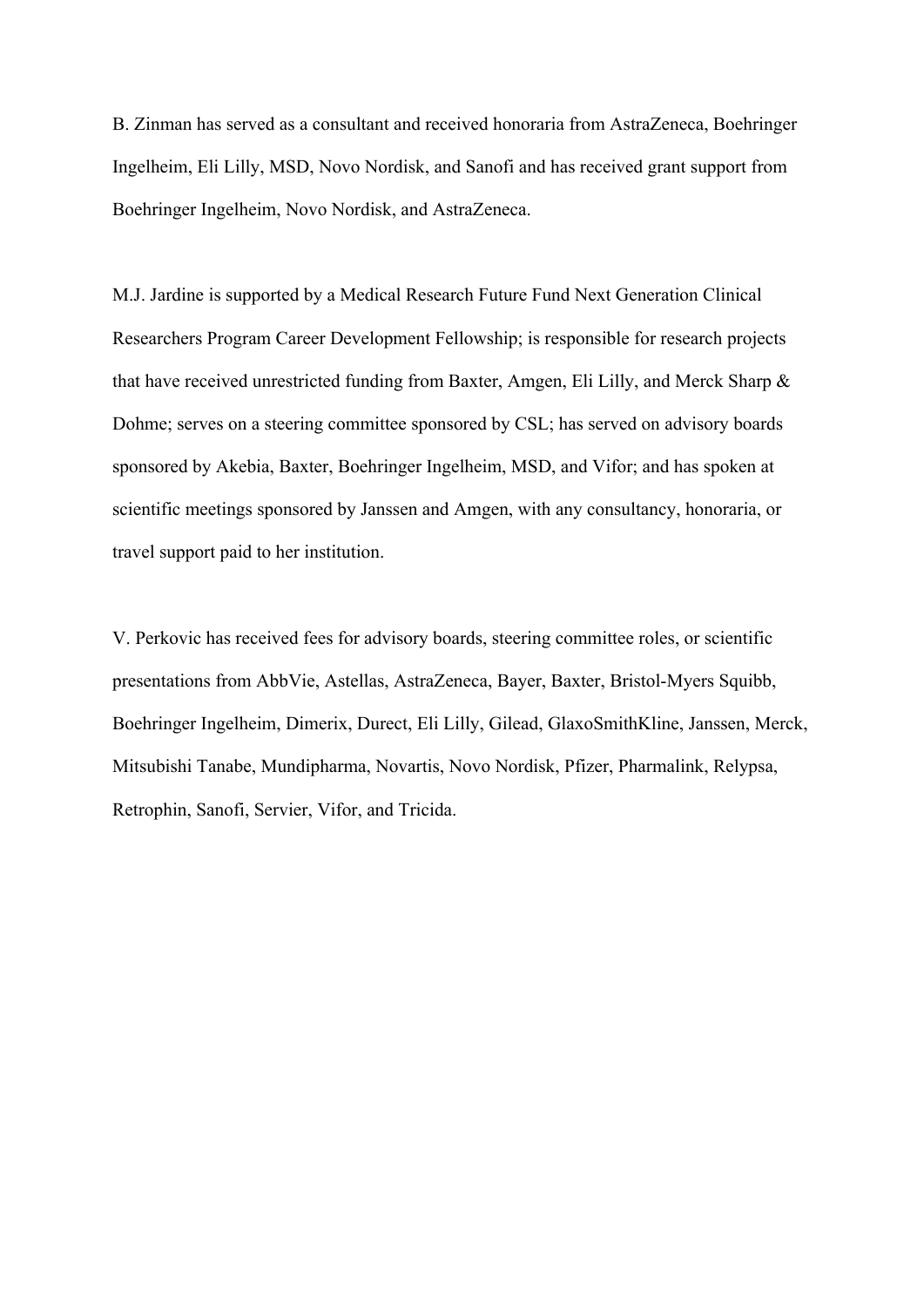B. Zinman has served as a consultant and received honoraria from AstraZeneca, Boehringer Ingelheim, Eli Lilly, MSD, Novo Nordisk, and Sanofi and has received grant support from Boehringer Ingelheim, Novo Nordisk, and AstraZeneca.

M.J. Jardine is supported by a Medical Research Future Fund Next Generation Clinical Researchers Program Career Development Fellowship; is responsible for research projects that have received unrestricted funding from Baxter, Amgen, Eli Lilly, and Merck Sharp & Dohme; serves on a steering committee sponsored by CSL; has served on advisory boards sponsored by Akebia, Baxter, Boehringer Ingelheim, MSD, and Vifor; and has spoken at scientific meetings sponsored by Janssen and Amgen, with any consultancy, honoraria, or travel support paid to her institution.

V. Perkovic has received fees for advisory boards, steering committee roles, or scientific presentations from AbbVie, Astellas, AstraZeneca, Bayer, Baxter, Bristol-Myers Squibb, Boehringer Ingelheim, Dimerix, Durect, Eli Lilly, Gilead, GlaxoSmithKline, Janssen, Merck, Mitsubishi Tanabe, Mundipharma, Novartis, Novo Nordisk, Pfizer, Pharmalink, Relypsa, Retrophin, Sanofi, Servier, Vifor, and Tricida.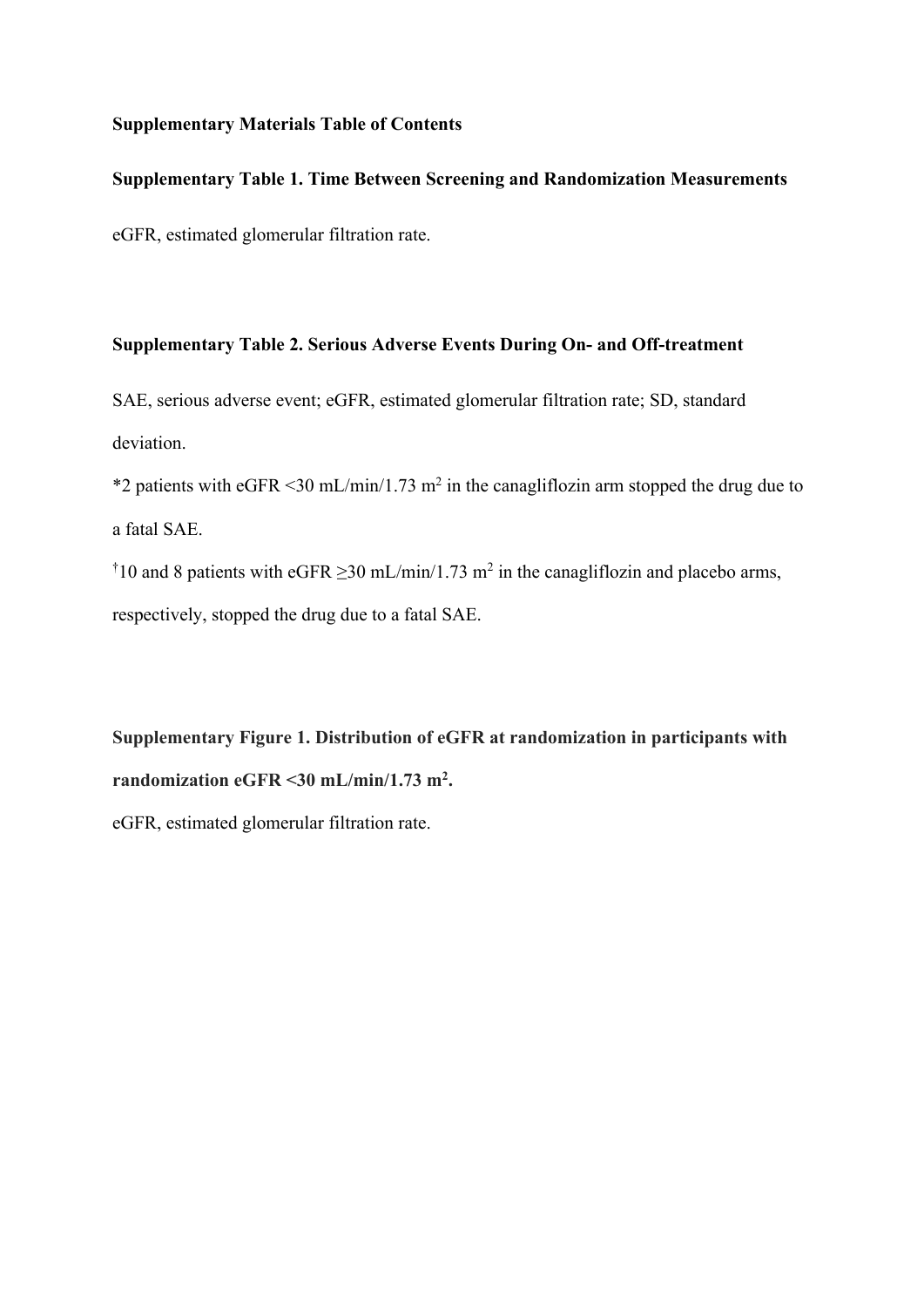# **Supplementary Materials Table of Contents**

# **Supplementary Table 1. Time Between Screening and Randomization Measurements**

eGFR, estimated glomerular filtration rate.

## **Supplementary Table 2. Serious Adverse Events During On- and Off-treatment**

SAE, serious adverse event; eGFR, estimated glomerular filtration rate; SD, standard deviation.

\*2 patients with eGFR  $\leq$ 30 mL/min/1.73 m<sup>2</sup> in the canagliflozin arm stopped the drug due to a fatal SAE.

<sup>†</sup>10 and 8 patients with eGFR  $\geq$ 30 mL/min/1.73 m<sup>2</sup> in the canagliflozin and placebo arms, respectively, stopped the drug due to a fatal SAE.

**Supplementary Figure 1. Distribution of eGFR at randomization in participants with randomization eGFR <30 mL/min/1.73 m2 .** eGFR, estimated glomerular filtration rate.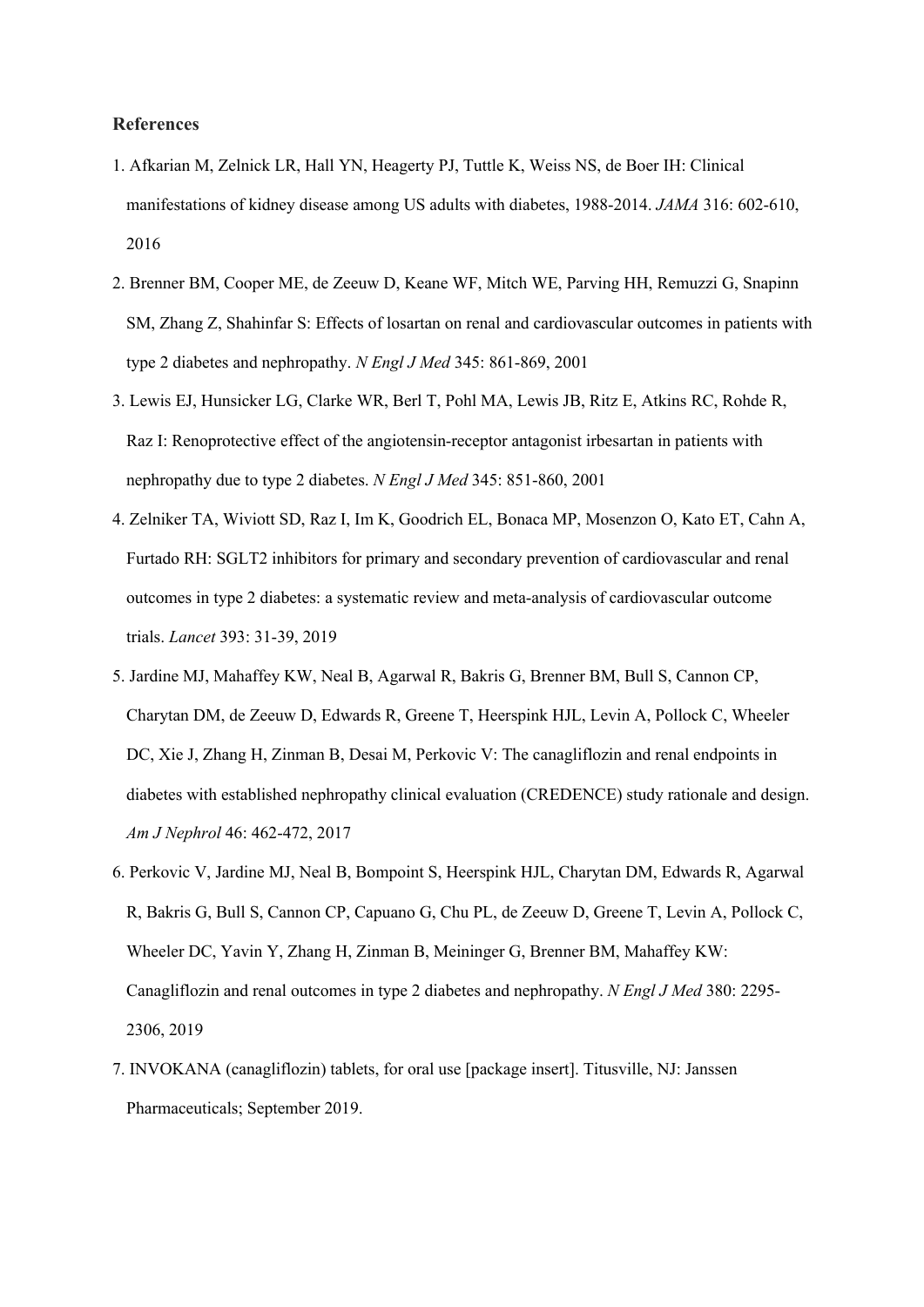#### **References**

- 1. Afkarian M, Zelnick LR, Hall YN, Heagerty PJ, Tuttle K, Weiss NS, de Boer IH: Clinical manifestations of kidney disease among US adults with diabetes, 1988-2014. *JAMA* 316: 602-610, 2016
- 2. Brenner BM, Cooper ME, de Zeeuw D, Keane WF, Mitch WE, Parving HH, Remuzzi G, Snapinn SM, Zhang Z, Shahinfar S: Effects of losartan on renal and cardiovascular outcomes in patients with type 2 diabetes and nephropathy. *N Engl J Med* 345: 861-869, 2001
- 3. Lewis EJ, Hunsicker LG, Clarke WR, Berl T, Pohl MA, Lewis JB, Ritz E, Atkins RC, Rohde R, Raz I: Renoprotective effect of the angiotensin-receptor antagonist irbesartan in patients with nephropathy due to type 2 diabetes. *N Engl J Med* 345: 851-860, 2001
- 4. Zelniker TA, Wiviott SD, Raz I, Im K, Goodrich EL, Bonaca MP, Mosenzon O, Kato ET, Cahn A, Furtado RH: SGLT2 inhibitors for primary and secondary prevention of cardiovascular and renal outcomes in type 2 diabetes: a systematic review and meta-analysis of cardiovascular outcome trials. *Lancet* 393: 31-39, 2019
- 5. Jardine MJ, Mahaffey KW, Neal B, Agarwal R, Bakris G, Brenner BM, Bull S, Cannon CP, Charytan DM, de Zeeuw D, Edwards R, Greene T, Heerspink HJL, Levin A, Pollock C, Wheeler DC, Xie J, Zhang H, Zinman B, Desai M, Perkovic V: The canagliflozin and renal endpoints in diabetes with established nephropathy clinical evaluation (CREDENCE) study rationale and design. *Am J Nephrol* 46: 462-472, 2017
- 6. Perkovic V, Jardine MJ, Neal B, Bompoint S, Heerspink HJL, Charytan DM, Edwards R, Agarwal R, Bakris G, Bull S, Cannon CP, Capuano G, Chu PL, de Zeeuw D, Greene T, Levin A, Pollock C, Wheeler DC, Yavin Y, Zhang H, Zinman B, Meininger G, Brenner BM, Mahaffey KW: Canagliflozin and renal outcomes in type 2 diabetes and nephropathy. *N Engl J Med* 380: 2295- 2306, 2019
- 7. INVOKANA (canagliflozin) tablets, for oral use [package insert]. Titusville, NJ: Janssen Pharmaceuticals; September 2019.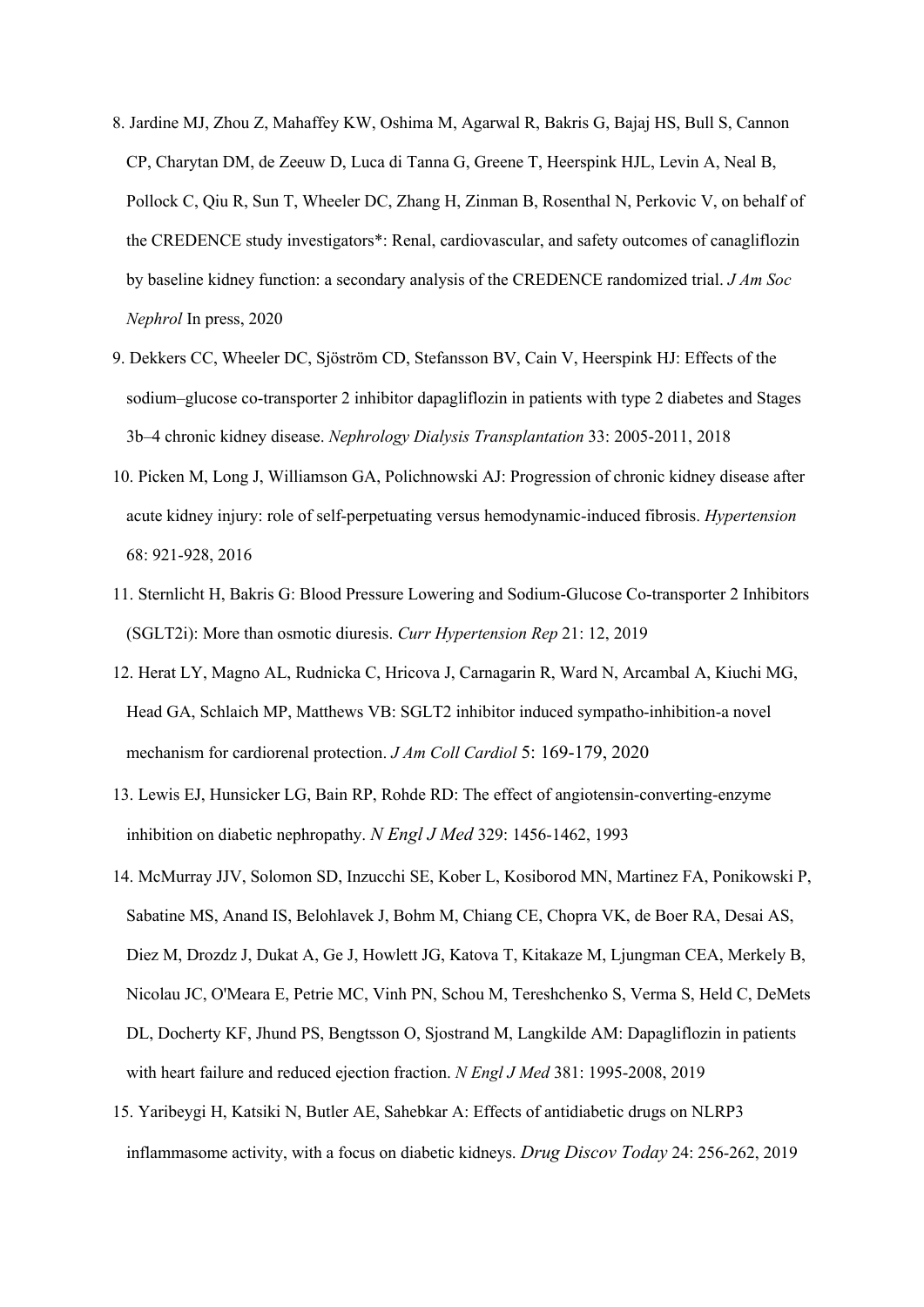- 8. Jardine MJ, Zhou Z, Mahaffey KW, Oshima M, Agarwal R, Bakris G, Bajaj HS, Bull S, Cannon CP, Charytan DM, de Zeeuw D, Luca di Tanna G, Greene T, Heerspink HJL, Levin A, Neal B, Pollock C, Qiu R, Sun T, Wheeler DC, Zhang H, Zinman B, Rosenthal N, Perkovic V, on behalf of the CREDENCE study investigators\*: Renal, cardiovascular, and safety outcomes of canagliflozin by baseline kidney function: a secondary analysis of the CREDENCE randomized trial. *J Am Soc Nephrol* In press, 2020
- 9. Dekkers CC, Wheeler DC, Sjöström CD, Stefansson BV, Cain V, Heerspink HJ: Effects of the sodium–glucose co-transporter 2 inhibitor dapagliflozin in patients with type 2 diabetes and Stages 3b–4 chronic kidney disease. *Nephrology Dialysis Transplantation* 33: 2005-2011, 2018
- 10. Picken M, Long J, Williamson GA, Polichnowski AJ: Progression of chronic kidney disease after acute kidney injury: role of self-perpetuating versus hemodynamic-induced fibrosis. *Hypertension*  68: 921-928, 2016
- 11. Sternlicht H, Bakris G: Blood Pressure Lowering and Sodium-Glucose Co-transporter 2 Inhibitors (SGLT2i): More than osmotic diuresis. *Curr Hypertension Rep* 21: 12, 2019
- 12. Herat LY, Magno AL, Rudnicka C, Hricova J, Carnagarin R, Ward N, Arcambal A, Kiuchi MG, Head GA, Schlaich MP, Matthews VB: SGLT2 inhibitor induced sympatho-inhibition-a novel mechanism for cardiorenal protection. *J Am Coll Cardiol* 5: 169-179, 2020
- 13. Lewis EJ, Hunsicker LG, Bain RP, Rohde RD: The effect of angiotensin-converting-enzyme inhibition on diabetic nephropathy. *N Engl J Med* 329: 1456-1462, 1993
- 14. McMurray JJV, Solomon SD, Inzucchi SE, Kober L, Kosiborod MN, Martinez FA, Ponikowski P, Sabatine MS, Anand IS, Belohlavek J, Bohm M, Chiang CE, Chopra VK, de Boer RA, Desai AS, Diez M, Drozdz J, Dukat A, Ge J, Howlett JG, Katova T, Kitakaze M, Ljungman CEA, Merkely B, Nicolau JC, O'Meara E, Petrie MC, Vinh PN, Schou M, Tereshchenko S, Verma S, Held C, DeMets DL, Docherty KF, Jhund PS, Bengtsson O, Sjostrand M, Langkilde AM: Dapagliflozin in patients with heart failure and reduced ejection fraction. *N Engl J Med* 381: 1995-2008, 2019
- 15. Yaribeygi H, Katsiki N, Butler AE, Sahebkar A: Effects of antidiabetic drugs on NLRP3 inflammasome activity, with a focus on diabetic kidneys. *Drug Discov Today* 24: 256-262, 2019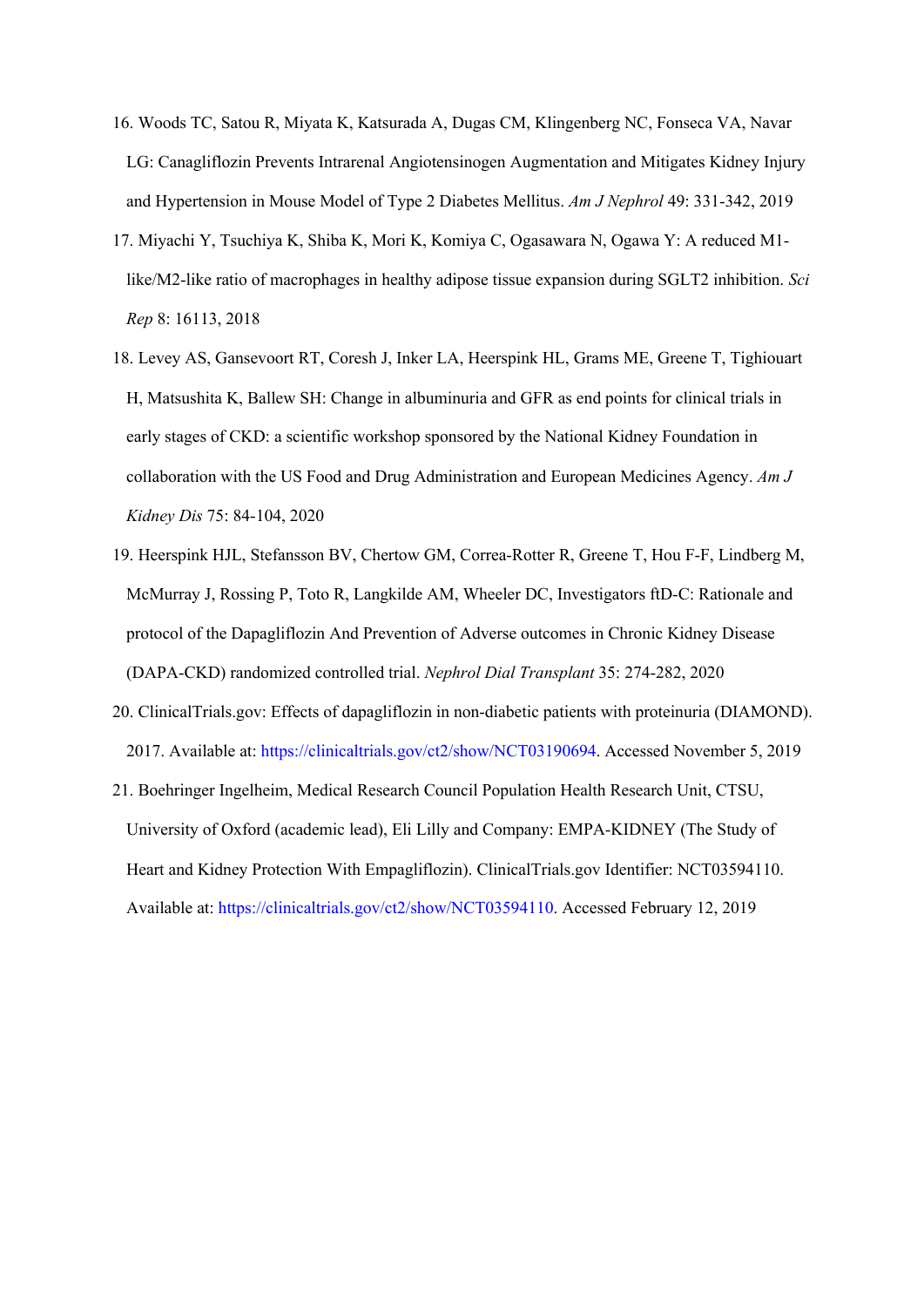- 16. Woods TC, Satou R, Miyata K, Katsurada A, Dugas CM, Klingenberg NC, Fonseca VA, Navar LG: Canagliflozin Prevents Intrarenal Angiotensinogen Augmentation and Mitigates Kidney Injury and Hypertension in Mouse Model of Type 2 Diabetes Mellitus. *Am J Nephrol* 49: 331-342, 2019
- 17. Miyachi Y, Tsuchiya K, Shiba K, Mori K, Komiya C, Ogasawara N, Ogawa Y: A reduced M1 like/M2-like ratio of macrophages in healthy adipose tissue expansion during SGLT2 inhibition. *Sci Rep* 8: 16113, 2018
- 18. Levey AS, Gansevoort RT, Coresh J, Inker LA, Heerspink HL, Grams ME, Greene T, Tighiouart H, Matsushita K, Ballew SH: Change in albuminuria and GFR as end points for clinical trials in early stages of CKD: a scientific workshop sponsored by the National Kidney Foundation in collaboration with the US Food and Drug Administration and European Medicines Agency. *Am J Kidney Dis* 75: 84-104, 2020
- 19. Heerspink HJL, Stefansson BV, Chertow GM, Correa-Rotter R, Greene T, Hou F-F, Lindberg M, McMurray J, Rossing P, Toto R, Langkilde AM, Wheeler DC, Investigators ftD-C: Rationale and protocol of the Dapagliflozin And Prevention of Adverse outcomes in Chronic Kidney Disease (DAPA-CKD) randomized controlled trial. *Nephrol Dial Transplant* 35: 274-282, 2020
- 20. ClinicalTrials.gov: Effects of dapagliflozin in non-diabetic patients with proteinuria (DIAMOND). 2017. Available at: https://clinicaltrials.gov/ct2/show/NCT03190694. Accessed November 5, 2019
- 21. Boehringer Ingelheim, Medical Research Council Population Health Research Unit, CTSU, University of Oxford (academic lead), Eli Lilly and Company: EMPA-KIDNEY (The Study of Heart and Kidney Protection With Empagliflozin). ClinicalTrials.gov Identifier: NCT03594110. Available at: https://clinicaltrials.gov/ct2/show/NCT03594110. Accessed February 12, 2019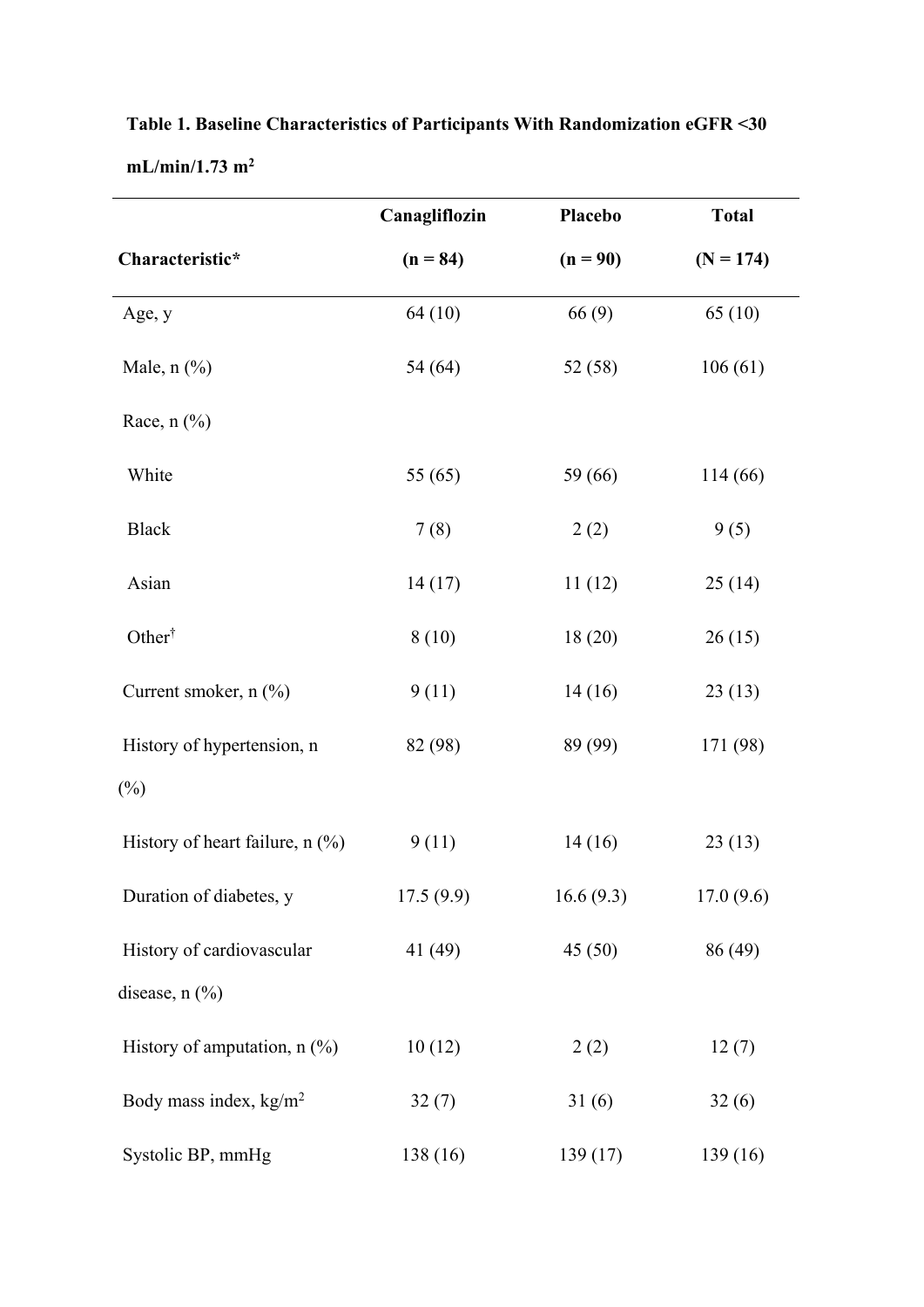|                                      | Canagliflozin | Placebo    | <b>Total</b> |  |
|--------------------------------------|---------------|------------|--------------|--|
| Characteristic*                      | $(n = 84)$    | $(n = 90)$ | $(N = 174)$  |  |
| Age, y                               | 64(10)        | 66(9)      | 65(10)       |  |
| Male, $n$ $\left(\frac{9}{6}\right)$ | 54(64)        | 52(58)     | 106(61)      |  |
| Race, $n$ $%$                        |               |            |              |  |
| White                                | 55 $(65)$     | 59 (66)    | 114(66)      |  |
| <b>Black</b>                         | 7(8)          | 2(2)       | 9(5)         |  |
| Asian                                | 14(17)        | 11(12)     | 25(14)       |  |
| Other <sup>†</sup>                   | 8(10)         | 18(20)     | 26(15)       |  |
| Current smoker, $n$ $(\%)$           | 9(11)         | 14(16)     | 23(13)       |  |
| History of hypertension, n           | 82 (98)       | 89 (99)    | 171 (98)     |  |
| $(\%)$                               |               |            |              |  |
| History of heart failure, n (%)      | 9(11)         | 14(16)     | 23(13)       |  |
| Duration of diabetes, y              | 17.5(9.9)     | 16.6(9.3)  | 17.0(9.6)    |  |
| History of cardiovascular            | 41 (49)       | 45(50)     | 86 (49)      |  |
| disease, $n$ $(\%)$                  |               |            |              |  |
| History of amputation, n (%)         | 10(12)        | 2(2)       | 12(7)        |  |
| Body mass index, $kg/m^2$            | 32(7)         | 31(6)      | 32(6)        |  |
| Systolic BP, mmHg                    | 138 (16)      | 139(17)    | 139 (16)     |  |

**Table 1. Baseline Characteristics of Participants With Randomization eGFR <30 mL/min/1.73 m2**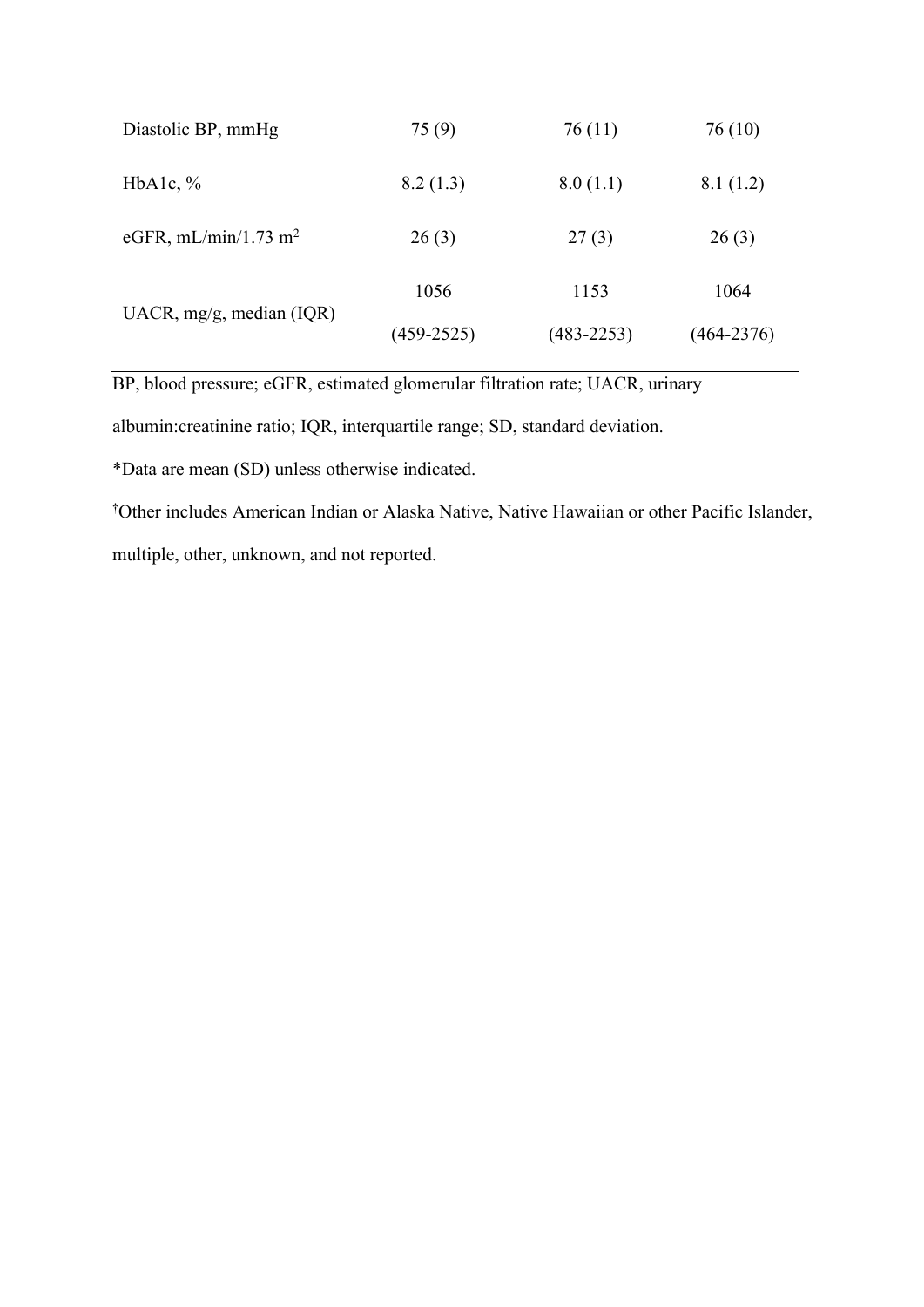| Diastolic BP, mmHg               | 75 (9)         | 76(11)         | 76 (10)        |
|----------------------------------|----------------|----------------|----------------|
| HbAlc, $\%$                      | 8.2(1.3)       | 8.0(1.1)       | 8.1(1.2)       |
| eGFR, mL/min/1.73 m <sup>2</sup> | 26(3)          | 27(3)          | 26(3)          |
| UACR, $mg/g$ , median (IQR)      | 1056           | 1153           | 1064           |
|                                  | $(459 - 2525)$ | $(483 - 2253)$ | $(464 - 2376)$ |

BP, blood pressure; eGFR, estimated glomerular filtration rate; UACR, urinary

albumin:creatinine ratio; IQR, interquartile range; SD, standard deviation.

\*Data are mean (SD) unless otherwise indicated.

† Other includes American Indian or Alaska Native, Native Hawaiian or other Pacific Islander, multiple, other, unknown, and not reported.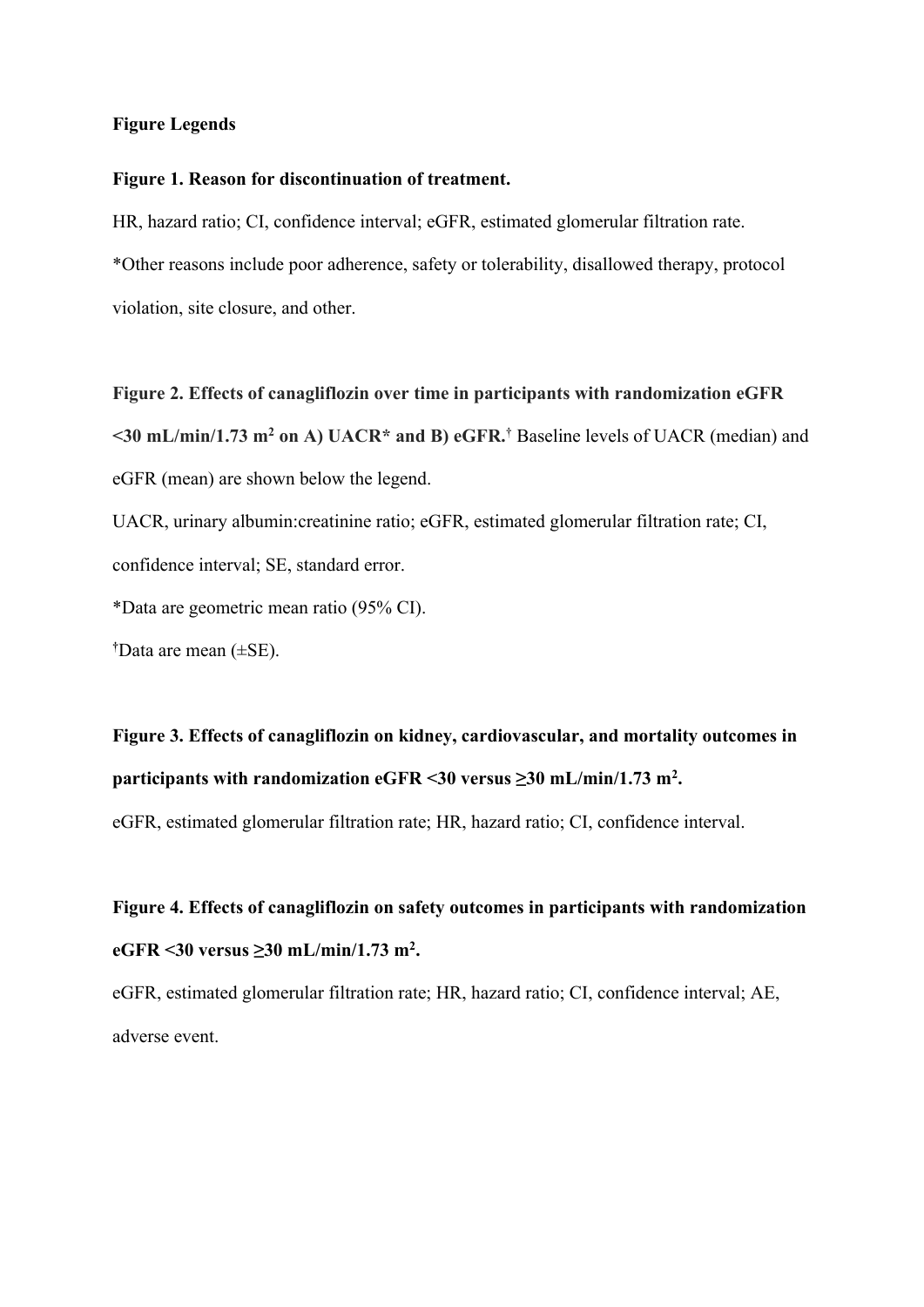#### **Figure Legends**

#### **Figure 1. Reason for discontinuation of treatment.**

HR, hazard ratio; CI, confidence interval; eGFR, estimated glomerular filtration rate. \*Other reasons include poor adherence, safety or tolerability, disallowed therapy, protocol violation, site closure, and other.

**Figure 2. Effects of canagliflozin over time in participants with randomization eGFR <30 mL/min/1.73 m2 on A) UACR\* and B) eGFR.†** Baseline levels of UACR (median) and eGFR (mean) are shown below the legend.

UACR, urinary albumin:creatinine ratio; eGFR, estimated glomerular filtration rate; CI, confidence interval; SE, standard error.

\*Data are geometric mean ratio (95% CI).

**†** Data are mean (±SE).

**Figure 3. Effects of canagliflozin on kidney, cardiovascular, and mortality outcomes in participants with randomization eGFR <30 versus ≥30 mL/min/1.73 m2 .**

eGFR, estimated glomerular filtration rate; HR, hazard ratio; CI, confidence interval.

**Figure 4. Effects of canagliflozin on safety outcomes in participants with randomization eGFR <30 versus ≥30 mL/min/1.73 m2 .**

eGFR, estimated glomerular filtration rate; HR, hazard ratio; CI, confidence interval; AE, adverse event.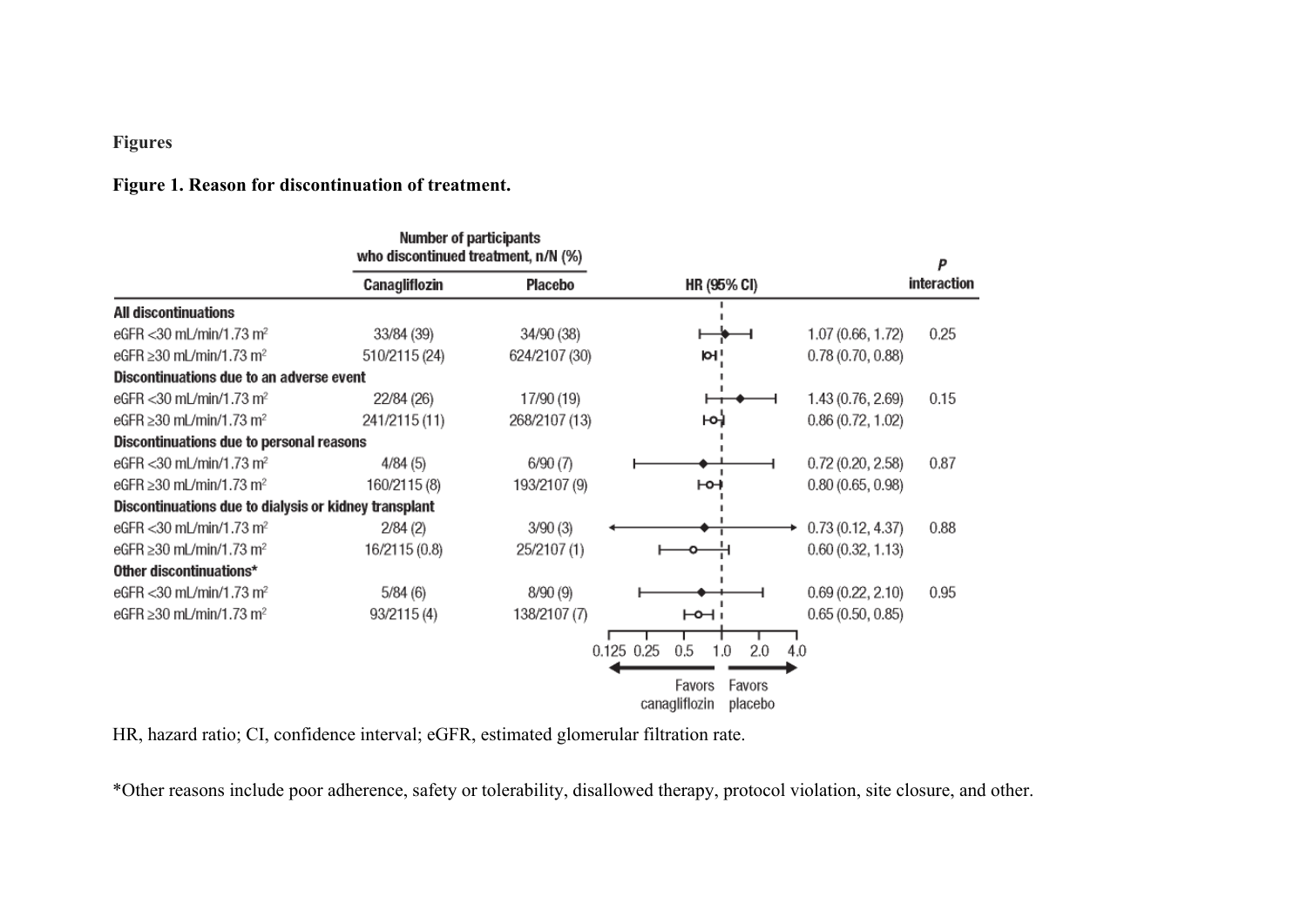# **Figures**

# **Figure 1. Reason for discontinuation of treatment.**

|                                                       | Number of participants<br>who discontinued treatment, n/N (%) |               |                                              |                   |             |  |
|-------------------------------------------------------|---------------------------------------------------------------|---------------|----------------------------------------------|-------------------|-------------|--|
|                                                       | Canagliflozin                                                 | Placebo       | HR (95% CI)                                  |                   | interaction |  |
| All discontinuations                                  |                                                               |               |                                              |                   |             |  |
| eGFR < 30 mL/min/1.73 m <sup>2</sup>                  | 33/84 (39)                                                    | 34/90 (38)    |                                              | 1.07 (0.66, 1.72) | 0.25        |  |
| eGFR $\geq$ 30 mL/min/1.73 m <sup>2</sup>             | 510/2115 (24)                                                 | 624/2107 (30) | ioli                                         | 0.78(0.70, 0.88)  |             |  |
| Discontinuations due to an adverse event              |                                                               |               |                                              |                   |             |  |
| eGFR < 30 mL/min/1.73 m <sup>2</sup>                  | 22/84 (26)                                                    | 17/90 (19)    |                                              | 1.43 (0.76, 2.69) | 0.15        |  |
| eGFR $\geq$ 30 mL/min/1.73 m <sup>2</sup>             | 241/2115 (11)                                                 | 268/2107 (13) | юì                                           | 0.86(0.72, 1.02)  |             |  |
| Discontinuations due to personal reasons              |                                                               |               |                                              |                   |             |  |
| eGFR < 30 mL/min/1.73 m <sup>2</sup>                  | 4/84(5)                                                       | 6/90(7)       |                                              | 0.72(0.20, 2.58)  | 0.87        |  |
| eGFR ≥30 mL/min/1.73 m <sup>2</sup>                   | 160/2115 (8)                                                  | 193/2107 (9)  | ⊢⊶                                           | 0.80(0.65, 0.98)  |             |  |
| Discontinuations due to dialysis or kidney transplant |                                                               |               |                                              |                   |             |  |
| eGFR < 30 mL/min/1.73 m <sup>2</sup>                  | 2/84(2)                                                       | 3/90(3)       |                                              | 0.73(0.12, 4.37)  | 0.88        |  |
| eGFR $\geq$ 30 mL/min/1.73 m <sup>2</sup>             | 16/2115 (0.8)                                                 | 25/2107 (1)   |                                              | 0.60(0.32, 1.13)  |             |  |
| Other discontinuations*                               |                                                               |               |                                              |                   |             |  |
| eGFR < 30 mL/min/1.73 m <sup>2</sup>                  | 5/84(6)                                                       | 8/90(9)       |                                              | 0.69(0.22, 2.10)  | 0.95        |  |
| eGFR $\geq$ 30 mL/min/1.73 m <sup>2</sup>             | 93/2115 (4)                                                   | 138/2107 (7)  | ۱⊢⊶                                          | 0.65(0.50, 0.85)  |             |  |
|                                                       |                                                               |               | $0.125$ 0.25<br>0.5<br>2.0<br>1.0            | 4.0               |             |  |
|                                                       |                                                               |               | Favors<br>Favors<br>canagliflozin<br>placebo |                   |             |  |

HR, hazard ratio; CI, confidence interval; eGFR, estimated glomerular filtration rate.

\*Other reasons include poor adherence, safety or tolerability, disallowed therapy, protocol violation, site closure, and other.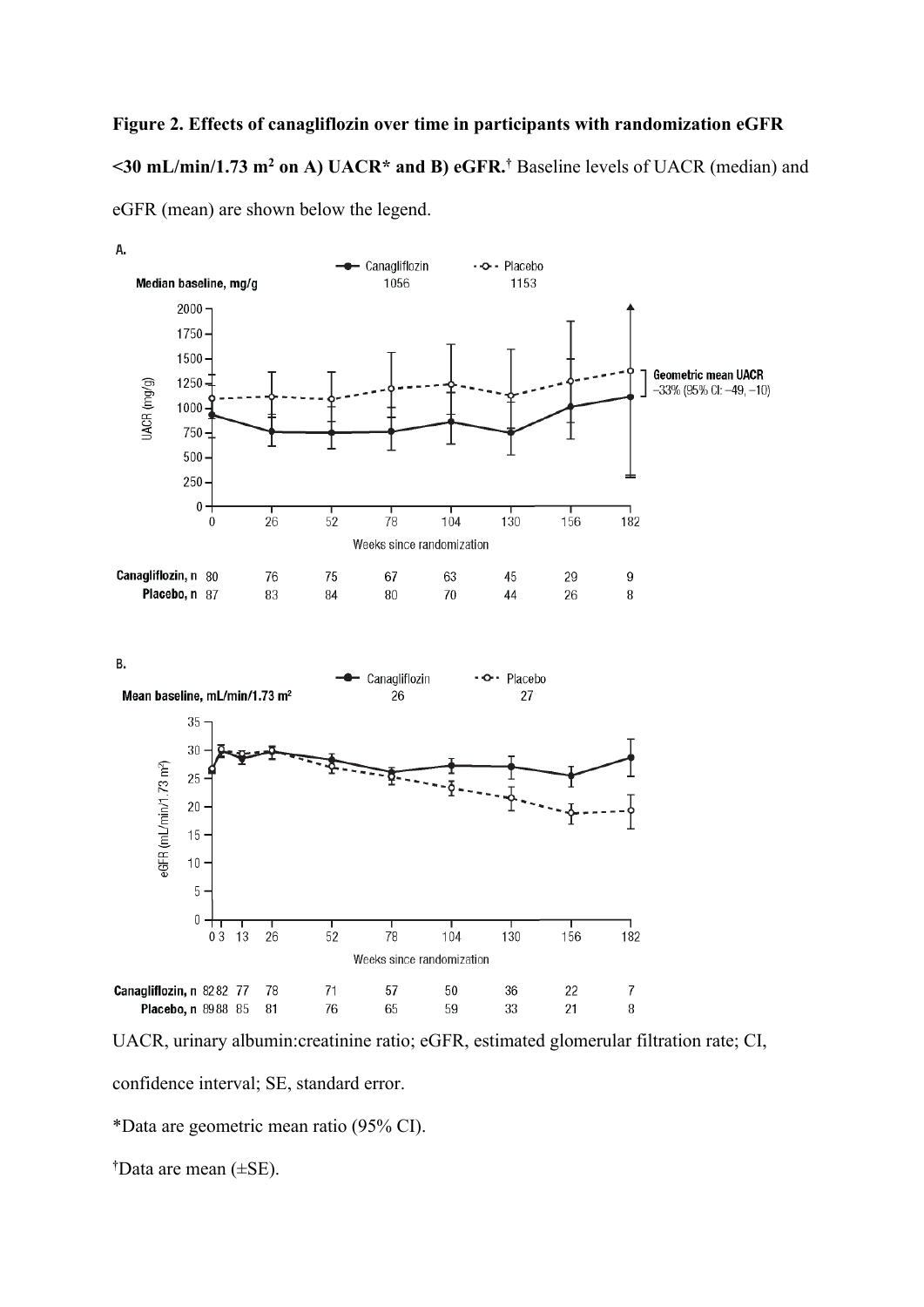# **Figure 2. Effects of canagliflozin over time in participants with randomization eGFR <30 mL/min/1.73 m2 on A) UACR\* and B) eGFR.†** Baseline levels of UACR (median) and eGFR (mean) are shown below the legend.



UACR, urinary albumin:creatinine ratio; eGFR, estimated glomerular filtration rate; CI,

confidence interval; SE, standard error.

\*Data are geometric mean ratio (95% CI).

**†** Data are mean (±SE).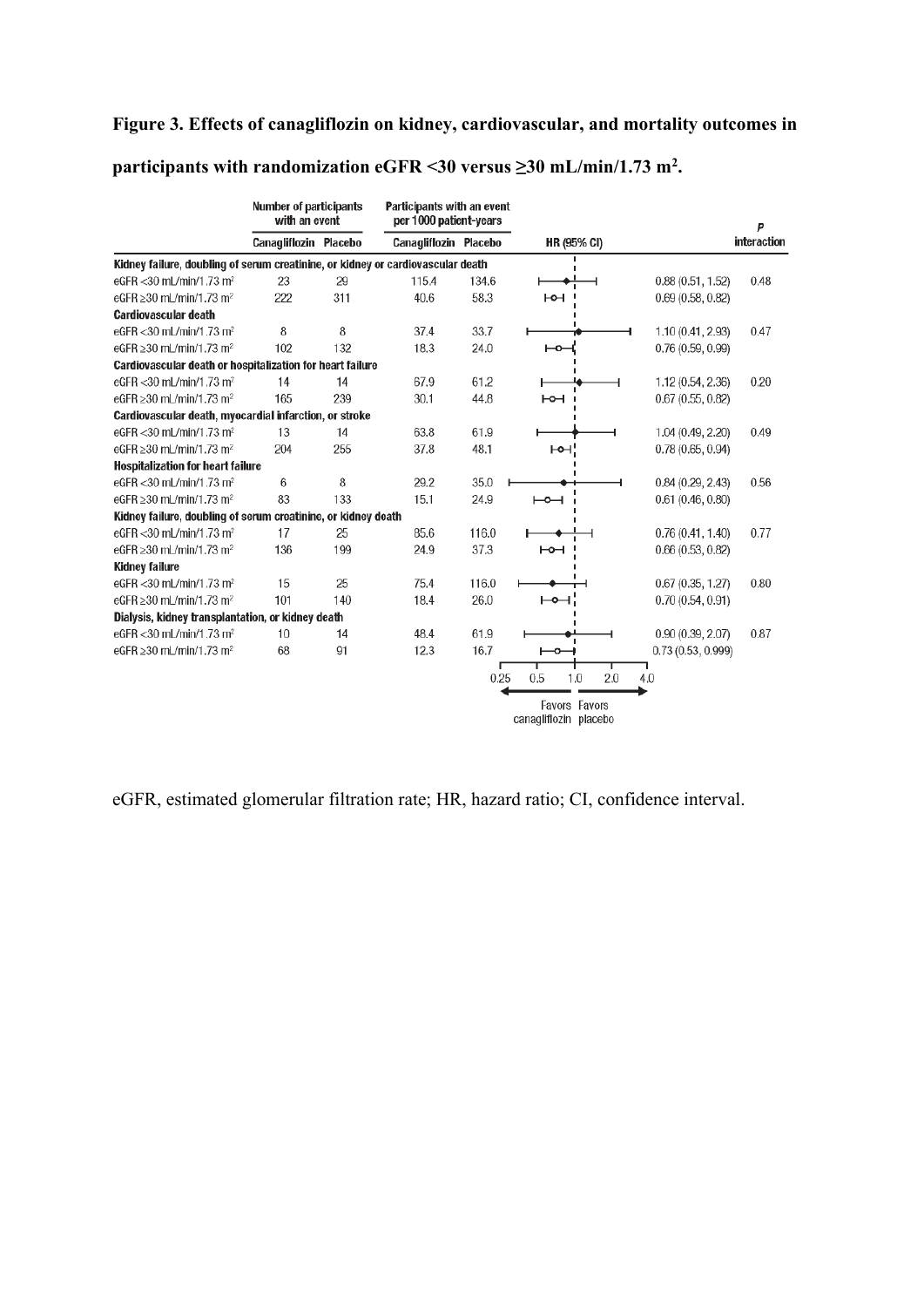# **Figure 3. Effects of canagliflozin on kidney, cardiovascular, and mortality outcomes in**

## **participants with randomization eGFR <30 versus ≥30 mL/min/1.73 m2 .**

|                                                                                 | <b>Number of participants</b><br>with an event |     | Participants with an event<br>per 1000 patient-years |       |                                        |                   | P           |
|---------------------------------------------------------------------------------|------------------------------------------------|-----|------------------------------------------------------|-------|----------------------------------------|-------------------|-------------|
|                                                                                 | Canagliflozin Placebo                          |     | Canagliflozin Placebo                                |       | <b>HR (95% CI)</b>                     |                   | interaction |
| Kidney failure, doubling of serum creatinine, or kidney or cardiovascular death |                                                |     |                                                      |       |                                        |                   |             |
| eGFR < 30 mL/min/1.73 m <sup>2</sup>                                            | 23                                             | 29  | 115.4                                                | 134.6 |                                        | 0.88(0.51, 1.52)  | 0.48        |
| eGFR $\geq$ 30 mL/min/1.73 m <sup>2</sup>                                       | 222                                            | 311 | 40.6                                                 | 58.3  | ⊢⊶                                     | 0.69(0.58, 0.82)  |             |
| <b>Cardiovascular death</b>                                                     |                                                |     |                                                      |       |                                        |                   |             |
| eGFR < 30 mL/min/1.73 m <sup>2</sup>                                            | 8                                              | 8   | 37.4                                                 | 33.7  |                                        | 1.10 (0.41, 2.93) | 0.47        |
| eGFR ≥30 mL/min/1.73 m <sup>2</sup>                                             | 102                                            | 132 | 18.3                                                 | 24.0  | ⊷                                      | 0.76(0.59, 0.99)  |             |
| Cardiovascular death or hospitalization for heart failure                       |                                                |     |                                                      |       |                                        |                   |             |
| eGFR <30 mL/min/1.73 m <sup>2</sup>                                             | 14                                             | 14  | 67.9                                                 | 61.2  |                                        | 1.12(0.54, 2.36)  | 0.20        |
| eGFR $\geq$ 30 mL/min/1.73 m <sup>2</sup>                                       | 165                                            | 239 | 30.1                                                 | 44.8  | H <sup>o</sup>                         | 0.67(0.55, 0.82)  |             |
| Cardiovascular death, myocardial infarction, or stroke                          |                                                |     |                                                      |       |                                        |                   |             |
| eGFR < 30 mL/min/1.73 m <sup>2</sup>                                            | 13                                             | 14  | 63.8                                                 | 61.9  |                                        | 1.04 (0.49, 2.20) | 0.49        |
| eGFR ≥30 mL/min/1.73 m <sup>2</sup>                                             | 204                                            | 255 | 37.8                                                 | 48.1  | ⊢o⊣'                                   | 0.78(0.65, 0.94)  |             |
| <b>Hospitalization for heart failure</b>                                        |                                                |     |                                                      |       |                                        |                   |             |
| eGFR < 30 mL/min/1.73 m <sup>2</sup>                                            | 6                                              | 8   | 29.2                                                 | 35.0  |                                        | 0.84(0.29, 2.43)  | 0.56        |
| eGFR $\geq$ 30 mL/min/1.73 m <sup>2</sup>                                       | 83                                             | 133 | 15.1                                                 | 24.9  | ⊢⊶                                     | 0.61(0.46, 0.80)  |             |
| Kidney failure, doubling of serum creatinine, or kidney death                   |                                                |     |                                                      |       |                                        |                   |             |
| eGFR < 30 mL/min/1.73 m <sup>2</sup>                                            | 17                                             | 25  | 85.6                                                 | 116.0 |                                        | 0.76(0.41, 1.40)  | 0.77        |
| eGFR ≥30 mL/min/1.73 m <sup>2</sup>                                             | 136                                            | 199 | 24.9                                                 | 37.3  | ⊢⊶                                     | 0.66(0.53, 0.82)  |             |
| <b>Kidney failure</b>                                                           |                                                |     |                                                      |       |                                        |                   |             |
| eGFR < 30 mL/min/1.73 m <sup>2</sup>                                            | 15                                             | 25  | 75.4                                                 | 116.0 |                                        | 0.67(0.35, 1.27)  | 0.80        |
| eGFR $\geq$ 30 mL/min/1.73 m <sup>2</sup>                                       | 101                                            | 140 | 18.4                                                 | 26.0  | ⊢⊶∶                                    | 0.70(0.54, 0.91)  |             |
| Dialysis, kidney transplantation, or kidney death                               |                                                |     |                                                      |       |                                        |                   |             |
| eGFR < 30 mL/min/1.73 m <sup>2</sup>                                            | 10                                             | 14  | 48.4                                                 | 61.9  |                                        | 0.90(0.39, 2.07)  | 0.87        |
| eGFR ≥30 mL/min/1.73 m <sup>2</sup>                                             | 68                                             | 91  | 12.3                                                 | 16.7  | ౼თ                                     | 0.73(0.53, 0.999) |             |
|                                                                                 |                                                |     |                                                      | 0.25  | т<br>0.5<br>2.0<br>1.0                 | 4.0               |             |
|                                                                                 |                                                |     |                                                      |       | Favors Favors<br>canagliflozin placebo |                   |             |

eGFR, estimated glomerular filtration rate; HR, hazard ratio; CI, confidence interval.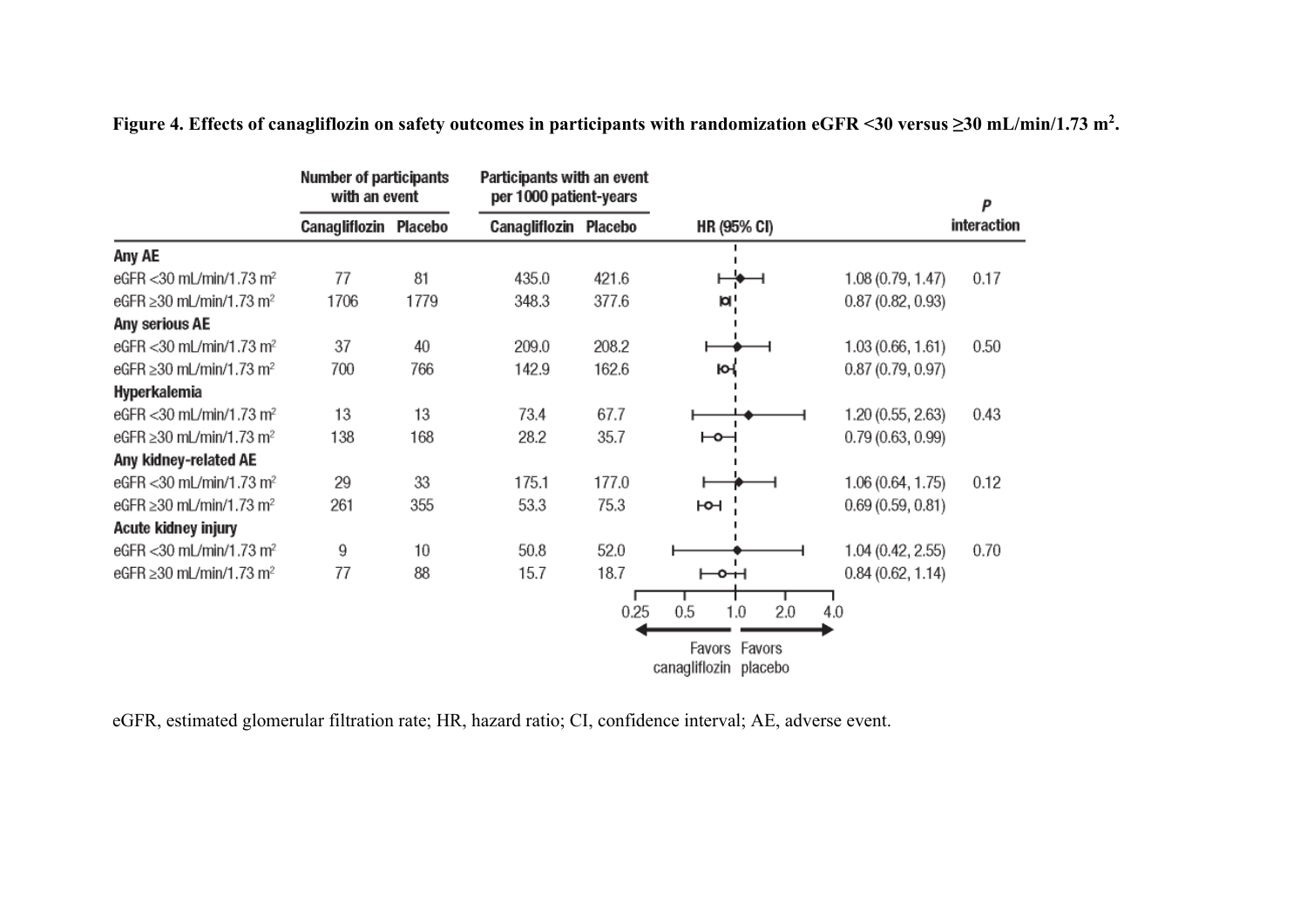|                                           | <b>Number of participants</b><br>with an event | Participants with an event<br>per 1000 patient-years |                       |       |                                    |                   | P           |
|-------------------------------------------|------------------------------------------------|------------------------------------------------------|-----------------------|-------|------------------------------------|-------------------|-------------|
|                                           | Canagliflozin Placebo                          |                                                      | Canagliflozin Placebo |       | <b>HR (95% CI)</b>                 |                   | interaction |
| Any AE                                    |                                                |                                                      |                       |       |                                    |                   |             |
| eGFR < 30 mL/min/1.73 m <sup>2</sup>      | 77                                             | 81                                                   | 435.0                 | 421.6 |                                    | 1.08 (0.79, 1.47) | 0.17        |
| eGFR $\geq$ 30 mL/min/1.73 m <sup>2</sup> | 1706                                           | 1779                                                 | 348.3                 | 377.6 | юI,                                | 0.87(0.82, 0.93)  |             |
| Any serious AE                            |                                                |                                                      |                       |       |                                    |                   |             |
| eGFR < 30 mL/min/1.73 m <sup>2</sup>      | 37                                             | 40                                                   | 209.0                 | 208.2 |                                    | 1.03 (0.66, 1.61) | 0.50        |
| eGFR $\geq$ 30 mL/min/1.73 m <sup>2</sup> | 700                                            | 766                                                  | 142.9                 | 162.6 | ю                                  | 0.87(0.79, 0.97)  |             |
| Hyperkalemia                              |                                                |                                                      |                       |       |                                    |                   |             |
| eGFR < 30 mL/min/1.73 m <sup>2</sup>      | 13                                             | 13                                                   | 73.4                  | 67.7  |                                    | 1.20(0.55, 2.63)  | 0.43        |
| eGFR $\geq$ 30 mL/min/1.73 m <sup>2</sup> | 138                                            | 168                                                  | 28.2                  | 35.7  | ⊢⊶                                 | 0.79(0.63, 0.99)  |             |
| Any kidney-related AE                     |                                                |                                                      |                       |       |                                    |                   |             |
| eGFR < 30 mL/min/1.73 m <sup>2</sup>      | 29                                             | 33                                                   | 175.1                 | 177.0 |                                    | 1.06 (0.64, 1.75) | 0.12        |
| eGFR ≥30 mL/min/1.73 m <sup>2</sup>       | 261                                            | 355                                                  | 53.3                  | 75.3  | юн                                 | 0.69(0.59, 0.81)  |             |
| Acute kidney injury                       |                                                |                                                      |                       |       |                                    |                   |             |
| eGFR < 30 mL/min/1.73 m <sup>2</sup>      | 9                                              | 10                                                   | 50.8                  | 52.0  |                                    | 1.04 (0.42, 2.55) | 0.70        |
| eGFR $\geq$ 30 mL/min/1.73 m <sup>2</sup> | 77                                             | 88                                                   | 15.7                  | 18.7  | ⊢⊶⊣                                | 0.84(0.62, 1.14)  |             |
|                                           |                                                |                                                      |                       | 0.25  | 0.5<br>2.0<br>1.0<br>Favors Favors | 4.0               |             |
|                                           |                                                |                                                      |                       |       | canagliflozin placebo              |                   |             |

**Figure 4. Effects of canagliflozin on safety outcomes in participants with randomization eGFR <30 versus ≥30 mL/min/1.73 m2 .**

eGFR, estimated glomerular filtration rate; HR, hazard ratio; CI, confidence interval; AE, adverse event.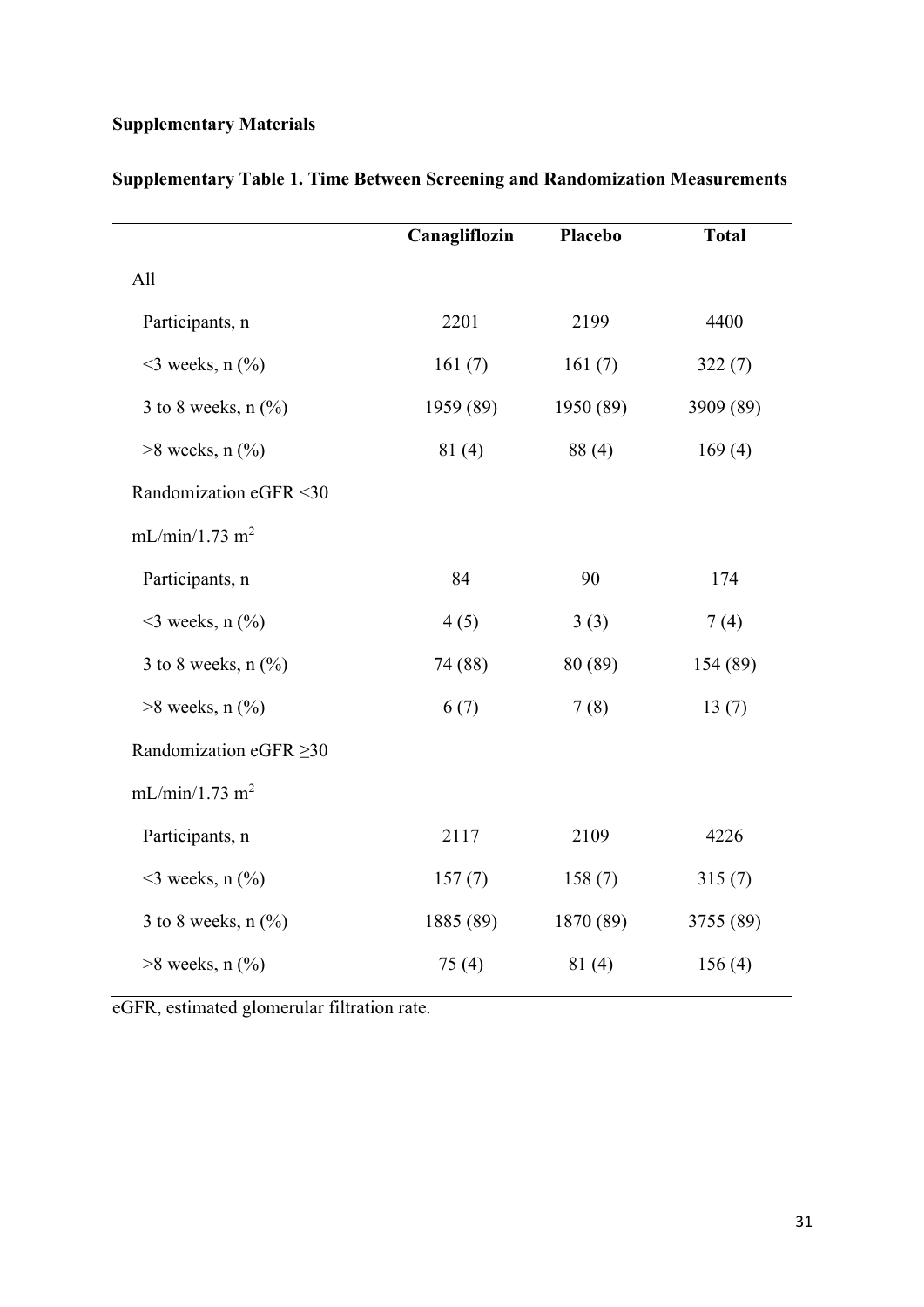# **Supplementary Materials**

|                              | Canagliflozin | Placebo   | <b>Total</b> |
|------------------------------|---------------|-----------|--------------|
| All                          |               |           |              |
| Participants, n              | 2201          | 2199      | 4400         |
| $\leq$ 3 weeks, n $(\%$ )    | 161(7)        | 161(7)    | 322(7)       |
| 3 to 8 weeks, $n$ $(\%)$     | 1959 (89)     | 1950 (89) | 3909 (89)    |
| $>8$ weeks, n $(\%$ )        | 81(4)         | 88(4)     | 169(4)       |
| Randomization eGFR <30       |               |           |              |
| mL/min/1.73 m <sup>2</sup>   |               |           |              |
| Participants, n              | 84            | 90        | 174          |
| $\leq$ weeks, n $(\%$        | 4(5)          | 3(3)      | 7(4)         |
| 3 to 8 weeks, $n$ $(\%)$     | 74 (88)       | 80 (89)   | 154 (89)     |
| $>8$ weeks, n $(\%$          | 6(7)          | 7(8)      | 13(7)        |
| Randomization eGFR $\geq$ 30 |               |           |              |
| mL/min/1.73 m <sup>2</sup>   |               |           |              |
| Participants, n              | 2117          | 2109      | 4226         |
| $\leq$ 3 weeks, n $(\%$ )    | 157(7)        | 158(7)    | 315(7)       |
| 3 to 8 weeks, $n$ $(\%)$     | 1885 (89)     | 1870 (89) | 3755 (89)    |
| $>8$ weeks, n $(\%$ )        | 75(4)         | 81(4)     | 156(4)       |

**Supplementary Table 1. Time Between Screening and Randomization Measurements**

eGFR, estimated glomerular filtration rate.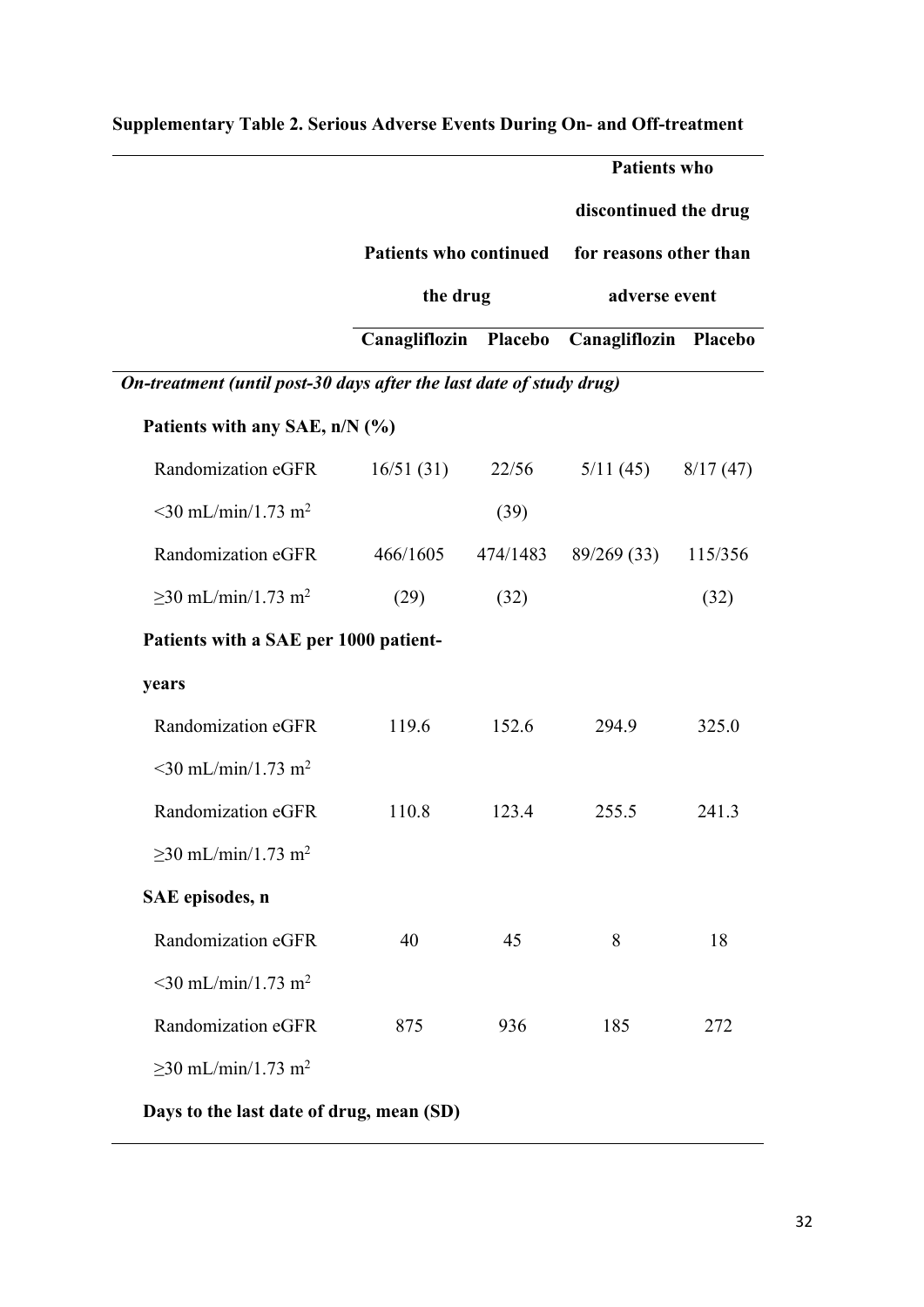|                                                                     |                               |          | <b>Patients who</b>                         |          |
|---------------------------------------------------------------------|-------------------------------|----------|---------------------------------------------|----------|
|                                                                     |                               |          | discontinued the drug                       |          |
|                                                                     | <b>Patients who continued</b> |          | for reasons other than                      |          |
|                                                                     | the drug                      |          | adverse event                               |          |
|                                                                     |                               |          | Canagliflozin Placebo Canagliflozin Placebo |          |
| On-treatment (until post-30 days after the last date of study drug) |                               |          |                                             |          |
| Patients with any SAE, n/N (%)                                      |                               |          |                                             |          |
| Randomization eGFR                                                  | 16/51(31)                     | 22/56    | 5/11(45)                                    | 8/17(47) |
| $\leq$ 30 mL/min/1.73 m <sup>2</sup>                                |                               | (39)     |                                             |          |
| Randomization eGFR                                                  | 466/1605                      | 474/1483 | 89/269(33)                                  | 115/356  |
| $≥30$ mL/min/1.73 m <sup>2</sup>                                    | (29)                          | (32)     |                                             | (32)     |
| Patients with a SAE per 1000 patient-                               |                               |          |                                             |          |
| years                                                               |                               |          |                                             |          |
| Randomization eGFR                                                  | 119.6                         | 152.6    | 294.9                                       | 325.0    |
| $\leq$ 30 mL/min/1.73 m <sup>2</sup>                                |                               |          |                                             |          |
| Randomization eGFR                                                  | 110.8                         | 123.4    | 255.5                                       | 241.3    |
| $\geq$ 30 mL/min/1.73 m <sup>2</sup>                                |                               |          |                                             |          |
| SAE episodes, n                                                     |                               |          |                                             |          |
| Randomization eGFR                                                  | 40                            | 45       | 8                                           | 18       |
| $\leq$ 30 mL/min/1.73 m <sup>2</sup>                                |                               |          |                                             |          |
| Randomization eGFR                                                  | 875                           | 936      | 185                                         | 272      |
| $\geq$ 30 mL/min/1.73 m <sup>2</sup>                                |                               |          |                                             |          |

# **Supplementary Table 2. Serious Adverse Events During On- and Off-treatment**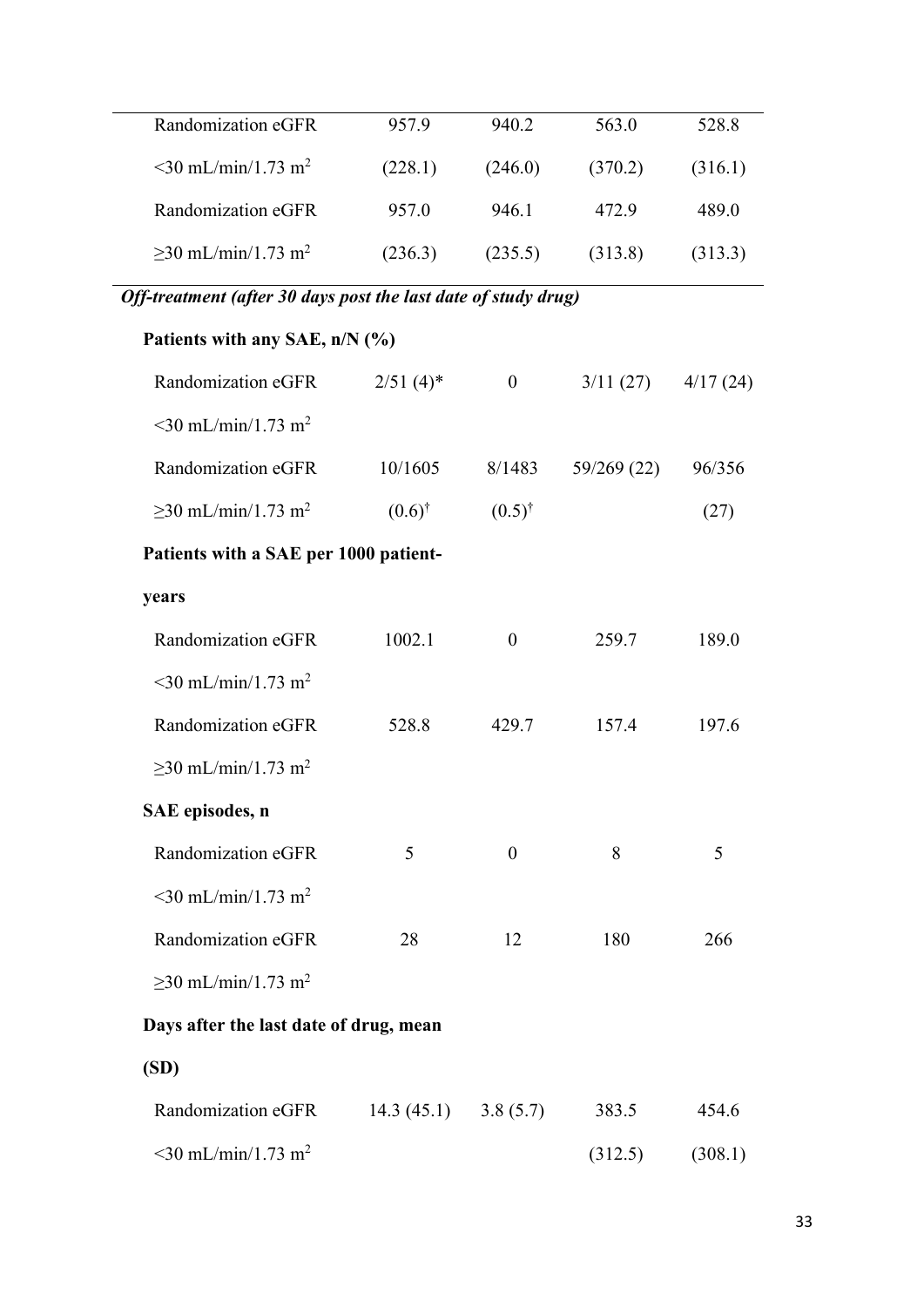| Randomization eGFR                   | 957.9   | 940.2   | 563.0   | 528.8   |
|--------------------------------------|---------|---------|---------|---------|
| $\leq$ 30 mL/min/1.73 m <sup>2</sup> | (228.1) | (246.0) | (370.2) | (316.1) |
| Randomization eGFR                   | 957.0   | 946.1   | 472.9   | 489.0   |
| $\geq$ 30 mL/min/1.73 m <sup>2</sup> | (236.3) | (235.5) | (313.8) | (313.3) |

*Off-treatment (after 30 days post the last date of study drug)*

| Patients with any SAE, n/N (%)         |                         |                   |             |          |
|----------------------------------------|-------------------------|-------------------|-------------|----------|
| Randomization eGFR                     | $2/51(4)$ *             | $\overline{0}$    | 3/11(27)    | 4/17(24) |
| $\leq$ 30 mL/min/1.73 m <sup>2</sup>   |                         |                   |             |          |
| Randomization eGFR                     | 10/1605                 | 8/1483            | 59/269 (22) | 96/356   |
| $\geq$ 30 mL/min/1.73 m <sup>2</sup>   | $(0.6)^{\dagger}$       | $(0.5)^{\dagger}$ |             | (27)     |
| Patients with a SAE per 1000 patient-  |                         |                   |             |          |
| years                                  |                         |                   |             |          |
| Randomization eGFR                     | 1002.1                  | $\mathbf{0}$      | 259.7       | 189.0    |
| $\leq$ 30 mL/min/1.73 m <sup>2</sup>   |                         |                   |             |          |
| Randomization eGFR                     | 528.8                   | 429.7             | 157.4       | 197.6    |
| $\geq$ 30 mL/min/1.73 m <sup>2</sup>   |                         |                   |             |          |
| SAE episodes, n                        |                         |                   |             |          |
| Randomization eGFR                     | 5                       | $\boldsymbol{0}$  | 8           | 5        |
| $\leq$ 30 mL/min/1.73 m <sup>2</sup>   |                         |                   |             |          |
| Randomization eGFR                     | 28                      | 12                | 180         | 266      |
| $≥30$ mL/min/1.73 m <sup>2</sup>       |                         |                   |             |          |
| Days after the last date of drug, mean |                         |                   |             |          |
| (SD)                                   |                         |                   |             |          |
| Randomization eGFR                     | $14.3(45.1)$ $3.8(5.7)$ |                   | 383.5       | 454.6    |
| $\leq$ 30 mL/min/1.73 m <sup>2</sup>   |                         |                   | (312.5)     | (308.1)  |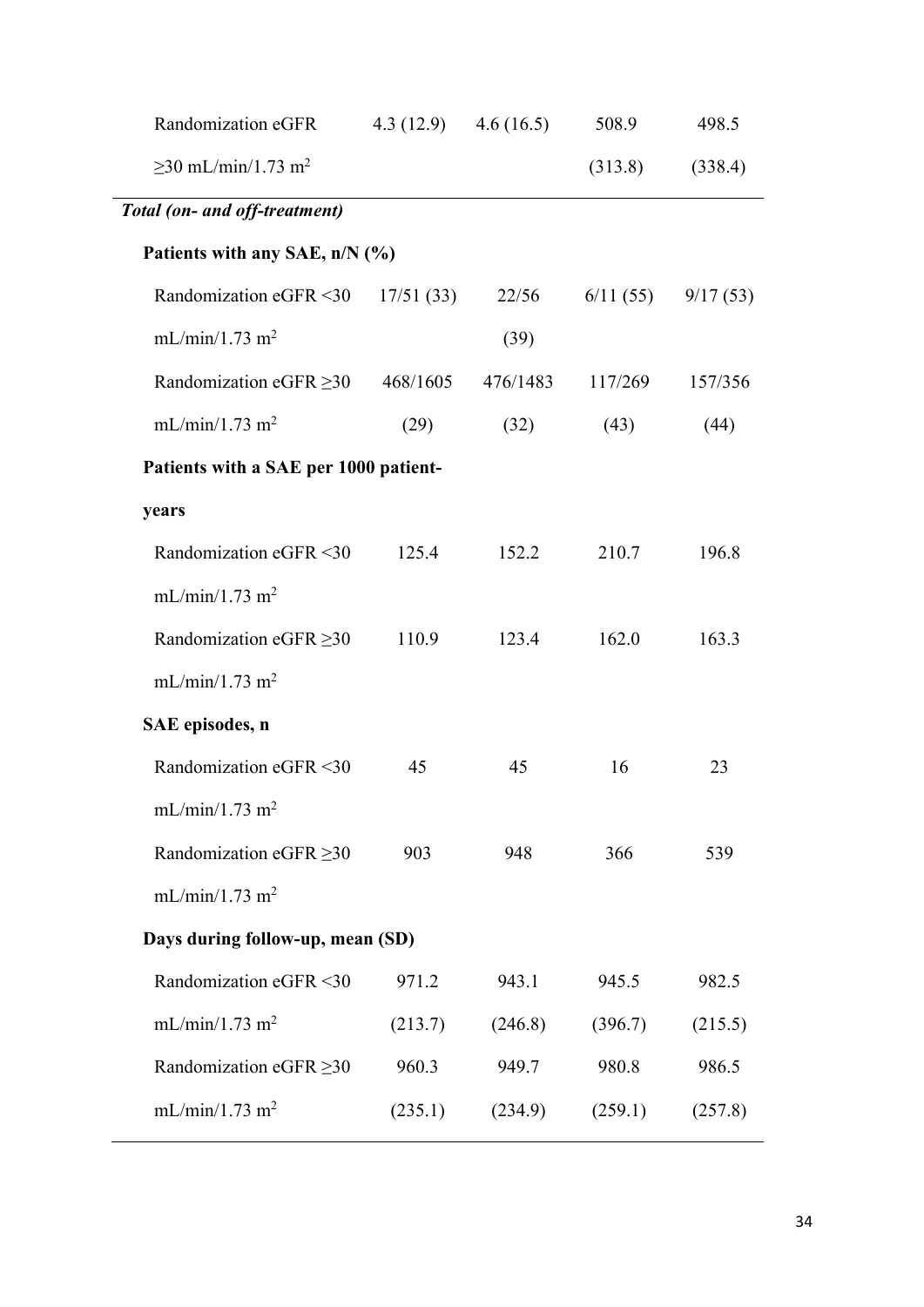| Randomization eGFR                    | 4.3 (12.9) $4.6$ (16.5) |          | 508.9    | 498.5    |
|---------------------------------------|-------------------------|----------|----------|----------|
| $>30$ mL/min/1.73 m <sup>2</sup>      |                         |          | (313.8)  | (338.4)  |
| Total (on- and off-treatment)         |                         |          |          |          |
| Patients with any SAE, n/N (%)        |                         |          |          |          |
| Randomization eGFR <30                | 17/51(33)               | 22/56    | 6/11(55) | 9/17(53) |
| mL/min/1.73 m <sup>2</sup>            |                         | (39)     |          |          |
| Randomization eGFR $\geq$ 30          | 468/1605                | 476/1483 | 117/269  | 157/356  |
| mL/min/1.73 m <sup>2</sup>            | (29)                    | (32)     | (43)     | (44)     |
| Patients with a SAE per 1000 patient- |                         |          |          |          |
| years                                 |                         |          |          |          |
| Randomization eGFR <30                | 125.4                   | 152.2    | 210.7    | 196.8    |
| mL/min/1.73 m <sup>2</sup>            |                         |          |          |          |
| Randomization eGFR $\geq$ 30          | 110.9                   | 123.4    | 162.0    | 163.3    |
| mL/min/1.73 m <sup>2</sup>            |                         |          |          |          |
| SAE episodes, n                       |                         |          |          |          |
| Randomization eGFR <30                | 45                      | 45       | 16       | 23       |
| mL/min/1.73 m <sup>2</sup>            |                         |          |          |          |
| Randomization eGFR $\geq$ 30          | 903                     | 948      | 366      | 539      |
| mL/min/1.73 m <sup>2</sup>            |                         |          |          |          |
| Days during follow-up, mean (SD)      |                         |          |          |          |
| Randomization eGFR <30                | 971.2                   | 943.1    | 945.5    | 982.5    |
| mL/min/1.73 m <sup>2</sup>            | (213.7)                 | (246.8)  | (396.7)  | (215.5)  |
| Randomization eGFR $\geq$ 30          | 960.3                   | 949.7    | 980.8    | 986.5    |
| mL/min/1.73 m <sup>2</sup>            | (235.1)                 | (234.9)  | (259.1)  | (257.8)  |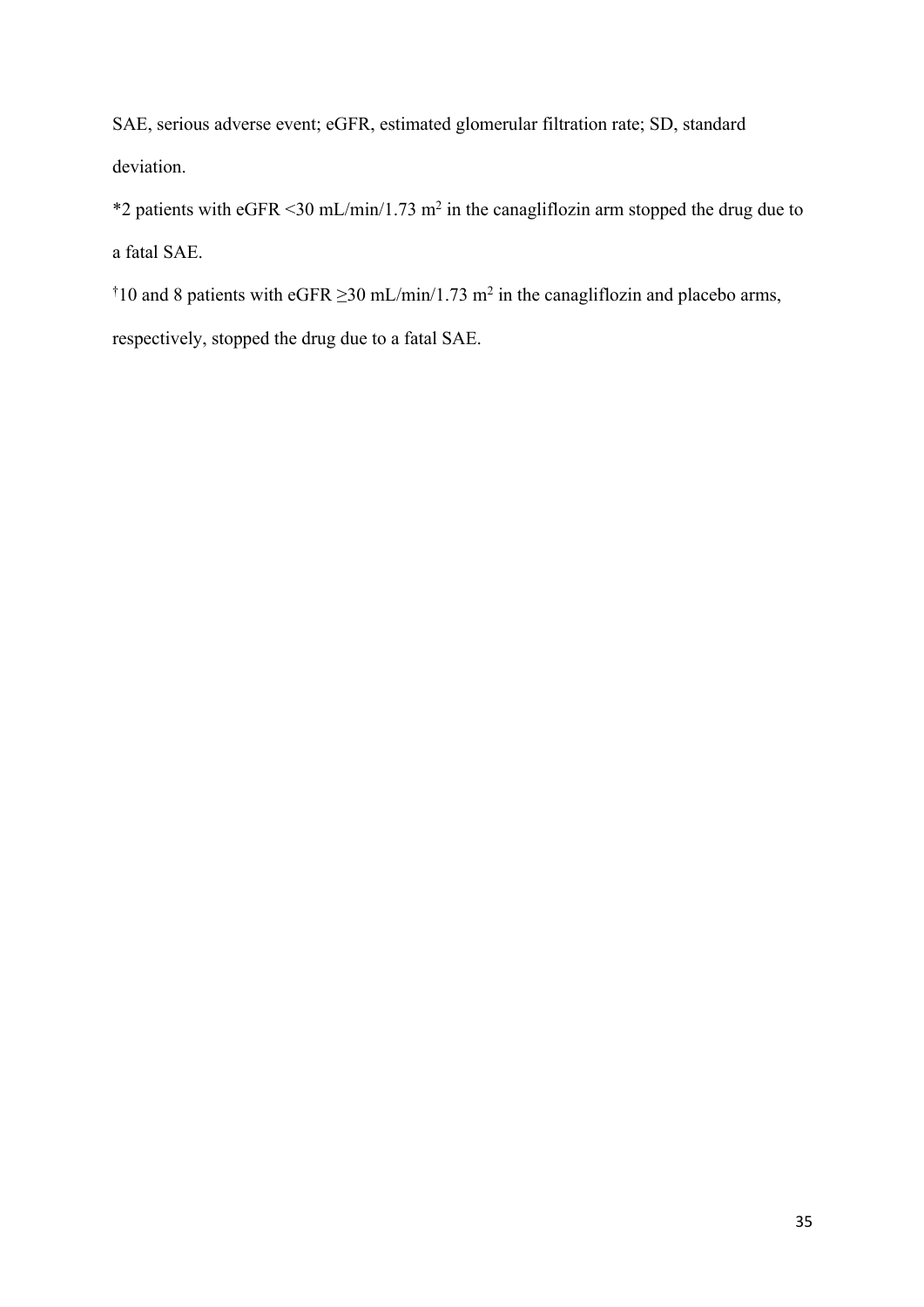SAE, serious adverse event; eGFR, estimated glomerular filtration rate; SD, standard deviation.

\*2 patients with eGFR <30 mL/min/1.73 m<sup>2</sup> in the canagliflozin arm stopped the drug due to a fatal SAE.

<sup>†</sup>10 and 8 patients with eGFR  $\geq$ 30 mL/min/1.73 m<sup>2</sup> in the canagliflozin and placebo arms,

respectively, stopped the drug due to a fatal SAE.